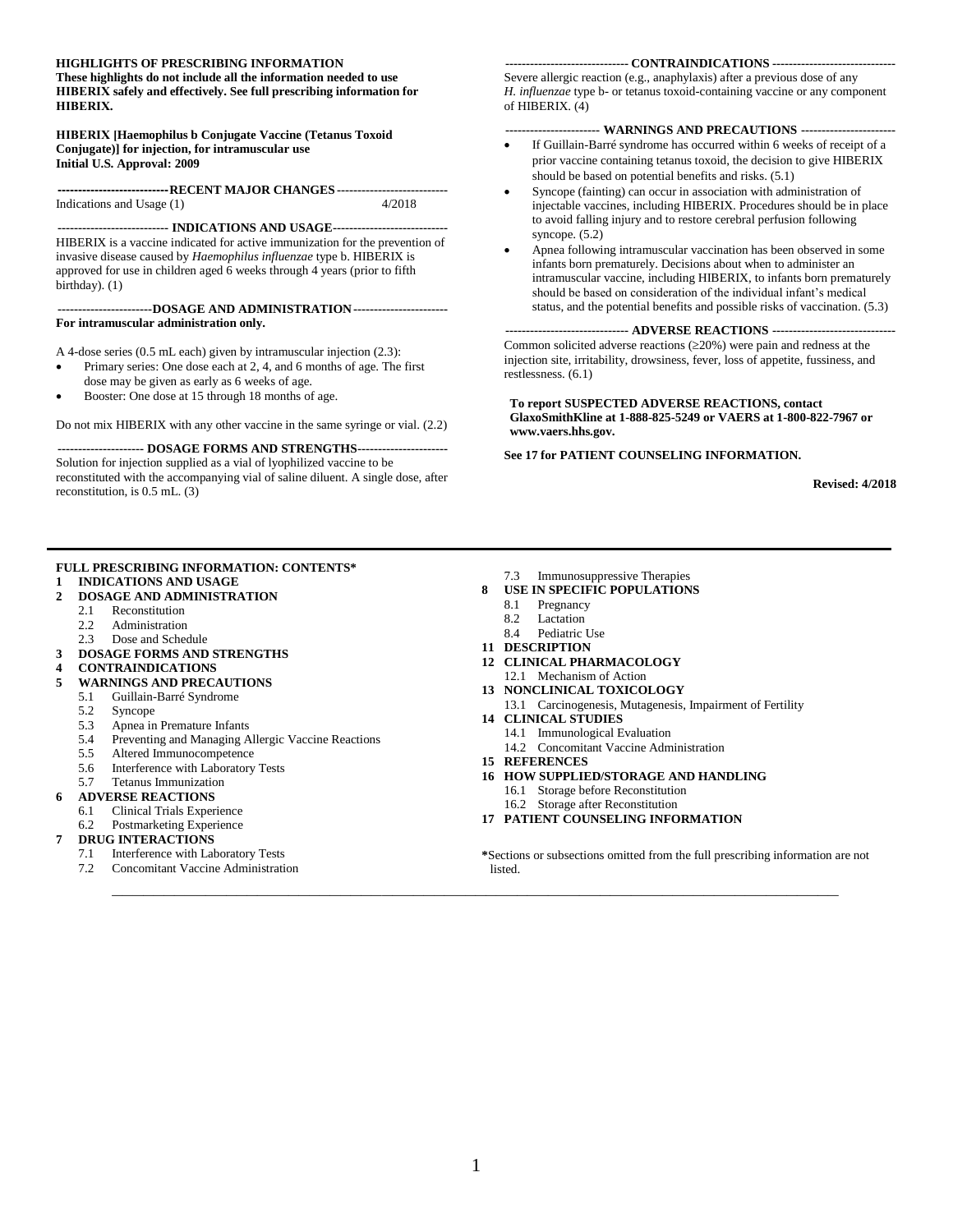#### **HIGHLIGHTS OF PRESCRIBING INFORMATION**

**These highlights do not include all the information needed to use HIBERIX safely and effectively. See full prescribing information for HIBERIX.**

#### **HIBERIX [Haemophilus b Conjugate Vaccine (Tetanus Toxoid Conjugate)] for injection, for intramuscular use Initial U.S. Approval: 2009**

**---------------------------RECENT MAJOR CHANGES ---------------------------** Indications and Usage (1) 4/2018

**--------------------------- INDICATIONS AND USAGE----------------------------** HIBERIX is a vaccine indicated for active immunization for the prevention of invasive disease caused by *Haemophilus influenzae* type b. HIBERIX is approved for use in children aged 6 weeks through 4 years (prior to fifth birthday). (1)

#### **-----------------------DOSAGE AND ADMINISTRATION----------------------- For intramuscular administration only.**

A 4-dose series (0.5 mL each) given by intramuscular injection (2.3):

- Primary series: One dose each at 2, 4, and 6 months of age. The first dose may be given as early as 6 weeks of age.
- Booster: One dose at 15 through 18 months of age.

Do not mix HIBERIX with any other vaccine in the same syringe or vial. (2.2)

**--------------------- DOSAGE FORMS AND STRENGTHS----------------------**

Solution for injection supplied as a vial of lyophilized vaccine to be reconstituted with the accompanying vial of saline diluent. A single dose, after reconstitution, is 0.5 mL. (3)

#### **FULL PRESCRIBING INFORMATION: CONTENTS\***

#### **1 [INDICATIONS AND USAGE](#page-1-0)**

- **2 [DOSAGE AND ADMINISTRATION](#page-1-1)**
	- 2.1 [Reconstitution](#page-1-2)<br>2.2 Administration
	- [Administration](#page-1-3)
	- 2.3 [Dose and Schedule](#page-2-0)
- **3 [DOSAGE FORMS AND STRENGTHS](#page-2-1)**
- **4 [CONTRAINDICATIONS](#page-2-2)**
- **5 [WARNINGS AND PRECAUTIONS](#page-2-3)**
- 5.1 [Guillain-Barré Syndrome](#page-2-4)
- 5.2 [Syncope](#page-2-5)
- 5.3 [Apnea in Premature Infants](#page-2-6)
- 5.4 [Preventing and Managing Allergic Vaccine Reactions](#page-3-0)
- 5.5 [Altered Immunocompetence](#page-3-1)
- 5.6 [Interference with Laboratory Tests](#page-3-2)
- 5.7 [Tetanus Immunization](#page-3-3)
- **6 [ADVERSE REACTIONS](#page-3-4)**
- 6.1 [Clinical Trials Experience](#page-3-5)
- 6.2 [Postmarketing Experience](#page-8-0)

#### **7 [DRUG INTERACTIONS](#page-8-1)**

- 7.1 [Interference with Laboratory Tests](#page-8-2)
- 7.2 [Concomitant Vaccine Administration](#page-8-3)

#### **------------------------------ CONTRAINDICATIONS ------------------------------**

Severe allergic reaction (e.g., anaphylaxis) after a previous dose of any *H. influenzae* type b- or tetanus toxoid-containing vaccine or any component of HIBERIX. (4)

#### **----------------------- WARNINGS AND PRECAUTIONS -----------------------**

- If Guillain-Barré syndrome has occurred within 6 weeks of receipt of a prior vaccine containing tetanus toxoid, the decision to give HIBERIX should be based on potential benefits and risks. (5.1)
- Syncope (fainting) can occur in association with administration of injectable vaccines, including HIBERIX. Procedures should be in place to avoid falling injury and to restore cerebral perfusion following syncope. (5.2)
- Apnea following intramuscular vaccination has been observed in some infants born prematurely. Decisions about when to administer an intramuscular vaccine, including HIBERIX, to infants born prematurely should be based on consideration of the individual infant's medical status, and the potential benefits and possible risks of vaccination. (5.3)

**------------------------------ ADVERSE REACTIONS ------------------------------** Common solicited adverse reactions  $(\geq 20\%)$  were pain and redness at the injection site, irritability, drowsiness, fever, loss of appetite, fussiness, and restlessness. (6.1)

**To report SUSPECTED ADVERSE REACTIONS, contact GlaxoSmithKline at 1-888-825-5249 or VAERS at 1-800-822-7967 or www.vaers.hhs.gov.**

**See 17 for PATIENT COUNSELING INFORMATION.**

**Revised: 4/2018**

- 7.3 [Immunosuppressive Therapies](#page-8-4)
- **8 [USE IN SPECIFIC POPULATIONS](#page-9-0)**
	- 8.1 [Pregnancy](#page-9-1)
	- 8.2 Lactation<br>8.4 Pediatric
	- [Pediatric Use](#page-9-2)
- **11 [DESCRIPTION](#page-9-3)**
- **12 [CLINICAL PHARMACOLOGY](#page-9-4)** 12.1 [Mechanism of Action](#page-9-5)
- **13 [NONCLINICAL TOXICOLOGY](#page-10-0)**
- 13.1 [Carcinogenesis, Mutagenesis, Impairment of Fertility](#page-10-1) **14 [CLINICAL STUDIES](#page-10-2)**
	- 14.1 [Immunological Evaluation](#page-10-3)
		- 14.2 [Concomitant Vaccine Administration](#page-14-0)
- **15 [REFERENCES](#page-15-0)**
- **16 [HOW SUPPLIED/STORAGE](#page-15-1) AND HANDLING**
	- 16.1 [Storage before Reconstitution](#page-15-2)
	- 16.2 [Storage after Reconstitution](#page-16-0)
- **17 [PATIENT COUNSELING INFORMATION](#page-16-1)**

**\***Sections or subsections omitted from the full prescribing information are not listed.

**\_\_\_\_\_\_\_\_\_\_\_\_\_\_\_\_\_\_\_\_\_\_\_\_\_\_\_\_\_\_\_\_\_\_\_\_\_\_\_\_\_\_\_\_\_\_\_\_\_\_\_\_\_\_\_\_\_\_\_\_\_\_\_\_\_\_\_\_\_\_**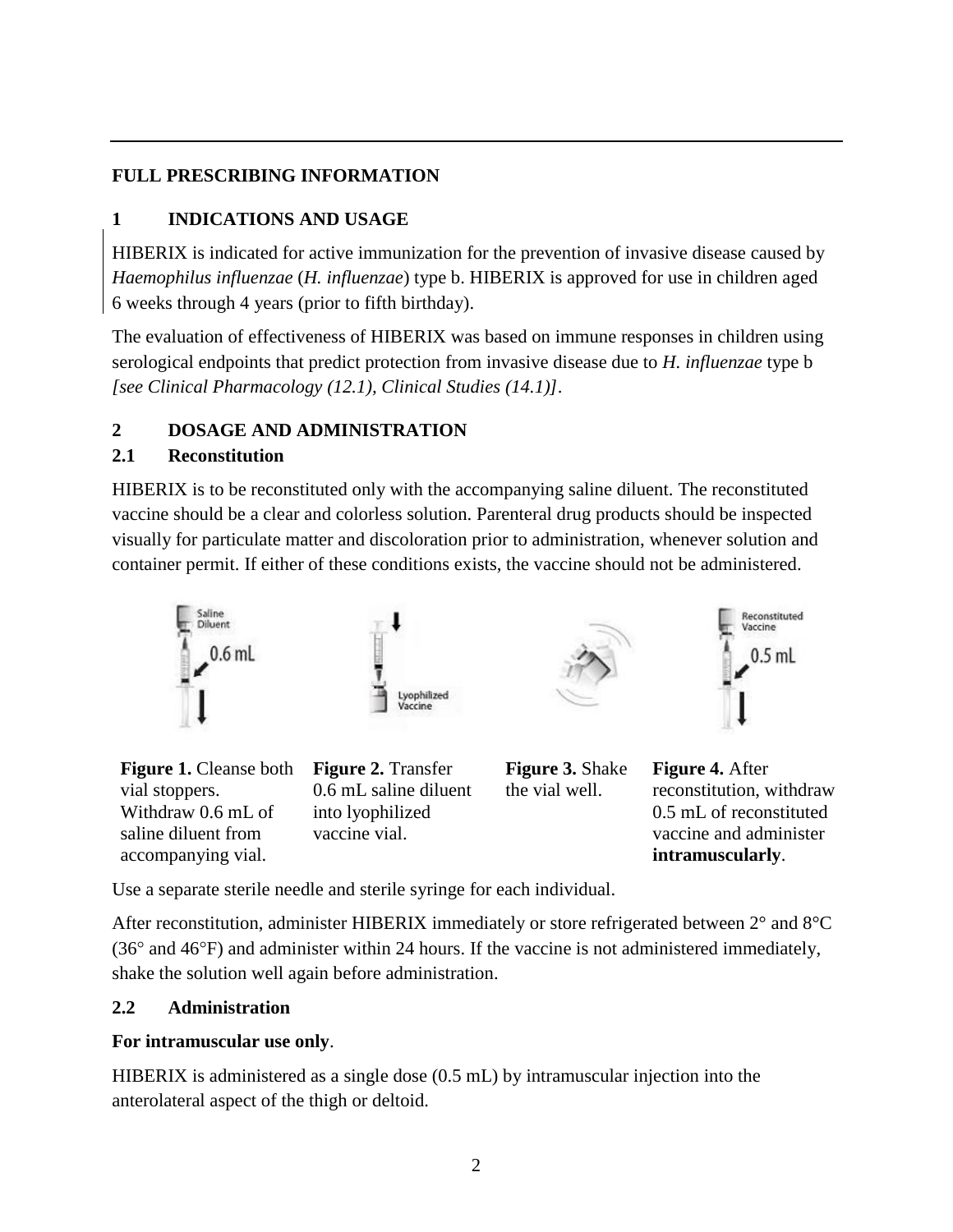## **FULL PRESCRIBING INFORMATION**

## <span id="page-1-0"></span>**1 INDICATIONS AND USAGE**

HIBERIX is indicated for active immunization for the prevention of invasive disease caused by *Haemophilus influenzae* (*H. influenzae*) type b. HIBERIX is approved for use in children aged 6 weeks through 4 years (prior to fifth birthday).

The evaluation of effectiveness of HIBERIX was based on immune responses in children using serological endpoints that predict protection from invasive disease due to *H. influenzae* type b *[see Clinical Pharmacology (12.1), Clinical Studies (14.1)]*.

### <span id="page-1-1"></span>**2 DOSAGE AND ADMINISTRATION**

#### <span id="page-1-2"></span>**2.1 Reconstitution**

HIBERIX is to be reconstituted only with the accompanying saline diluent. The reconstituted vaccine should be a clear and colorless solution. Parenteral drug products should be inspected visually for particulate matter and discoloration prior to administration, whenever solution and container permit. If either of these conditions exists, the vaccine should not be administered.





Use a separate sterile needle and sterile syringe for each individual.

After reconstitution, administer HIBERIX immediately or store refrigerated between 2° and 8°C  $(36^{\circ}$  and  $46^{\circ}F)$  and administer within 24 hours. If the vaccine is not administered immediately, shake the solution well again before administration.

### <span id="page-1-3"></span>**2.2 Administration**

### **For intramuscular use only**.

HIBERIX is administered as a single dose (0.5 mL) by intramuscular injection into the anterolateral aspect of the thigh or deltoid.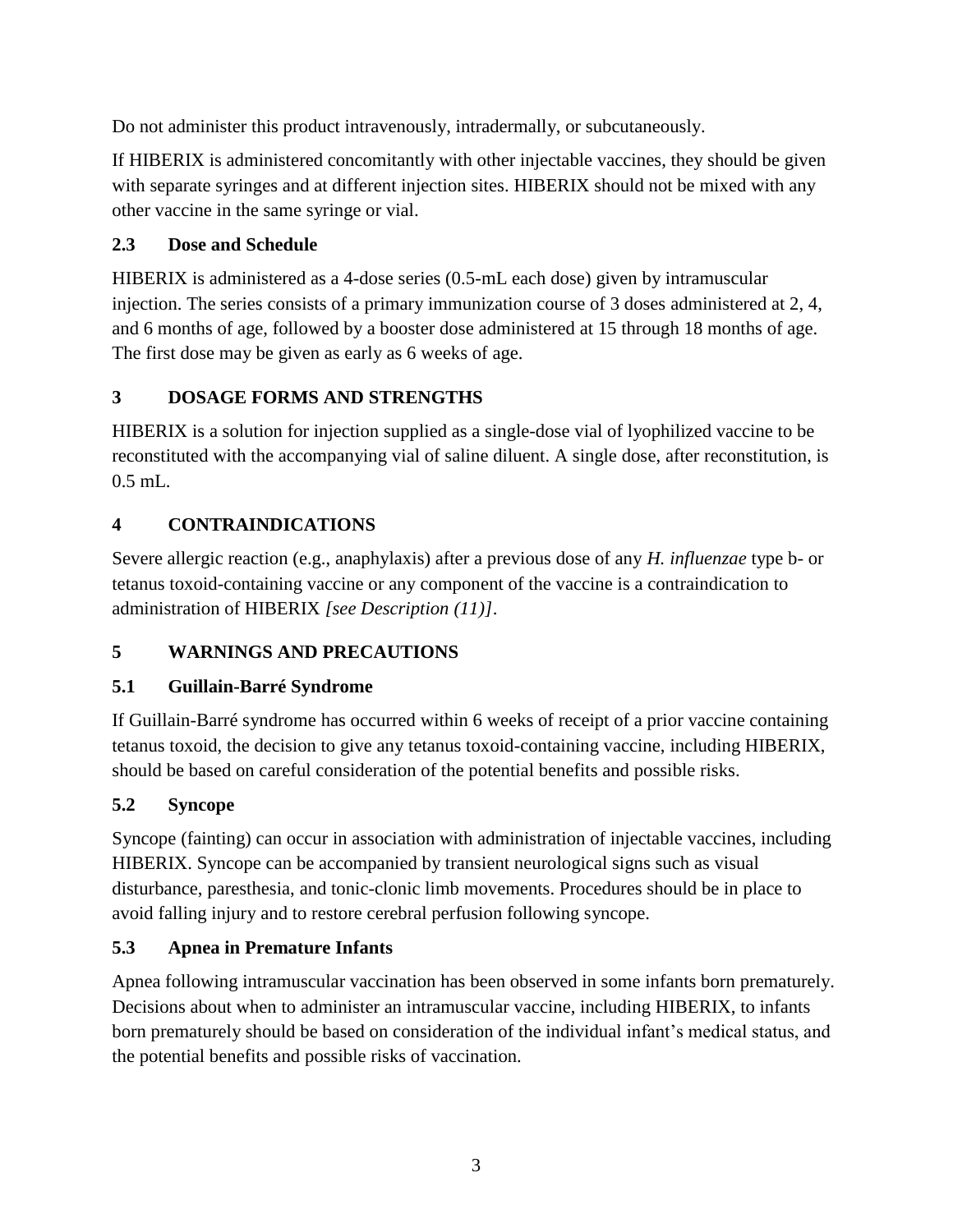Do not administer this product intravenously, intradermally, or subcutaneously.

If HIBERIX is administered concomitantly with other injectable vaccines, they should be given with separate syringes and at different injection sites. HIBERIX should not be mixed with any other vaccine in the same syringe or vial.

## <span id="page-2-0"></span>**2.3 Dose and Schedule**

HIBERIX is administered as a 4-dose series (0.5-mL each dose) given by intramuscular injection. The series consists of a primary immunization course of 3 doses administered at 2, 4, and 6 months of age, followed by a booster dose administered at 15 through 18 months of age. The first dose may be given as early as 6 weeks of age.

## <span id="page-2-1"></span>**3 DOSAGE FORMS AND STRENGTHS**

HIBERIX is a solution for injection supplied as a single-dose vial of lyophilized vaccine to be reconstituted with the accompanying vial of saline diluent. A single dose, after reconstitution, is 0.5 mL.

## <span id="page-2-2"></span>**4 CONTRAINDICATIONS**

Severe allergic reaction (e.g., anaphylaxis) after a previous dose of any *H. influenzae* type b- or tetanus toxoid-containing vaccine or any component of the vaccine is a contraindication to administration of HIBERIX *[see Description (11)]*.

## <span id="page-2-3"></span>**5 WARNINGS AND PRECAUTIONS**

## <span id="page-2-4"></span>**5.1 Guillain-Barré Syndrome**

If Guillain-Barré syndrome has occurred within 6 weeks of receipt of a prior vaccine containing tetanus toxoid, the decision to give any tetanus toxoid-containing vaccine, including HIBERIX, should be based on careful consideration of the potential benefits and possible risks.

## <span id="page-2-5"></span>**5.2 Syncope**

Syncope (fainting) can occur in association with administration of injectable vaccines, including HIBERIX. Syncope can be accompanied by transient neurological signs such as visual disturbance, paresthesia, and tonic-clonic limb movements. Procedures should be in place to avoid falling injury and to restore cerebral perfusion following syncope.

## <span id="page-2-6"></span>**5.3 Apnea in Premature Infants**

Apnea following intramuscular vaccination has been observed in some infants born prematurely. Decisions about when to administer an intramuscular vaccine, including HIBERIX, to infants born prematurely should be based on consideration of the individual infant's medical status, and the potential benefits and possible risks of vaccination.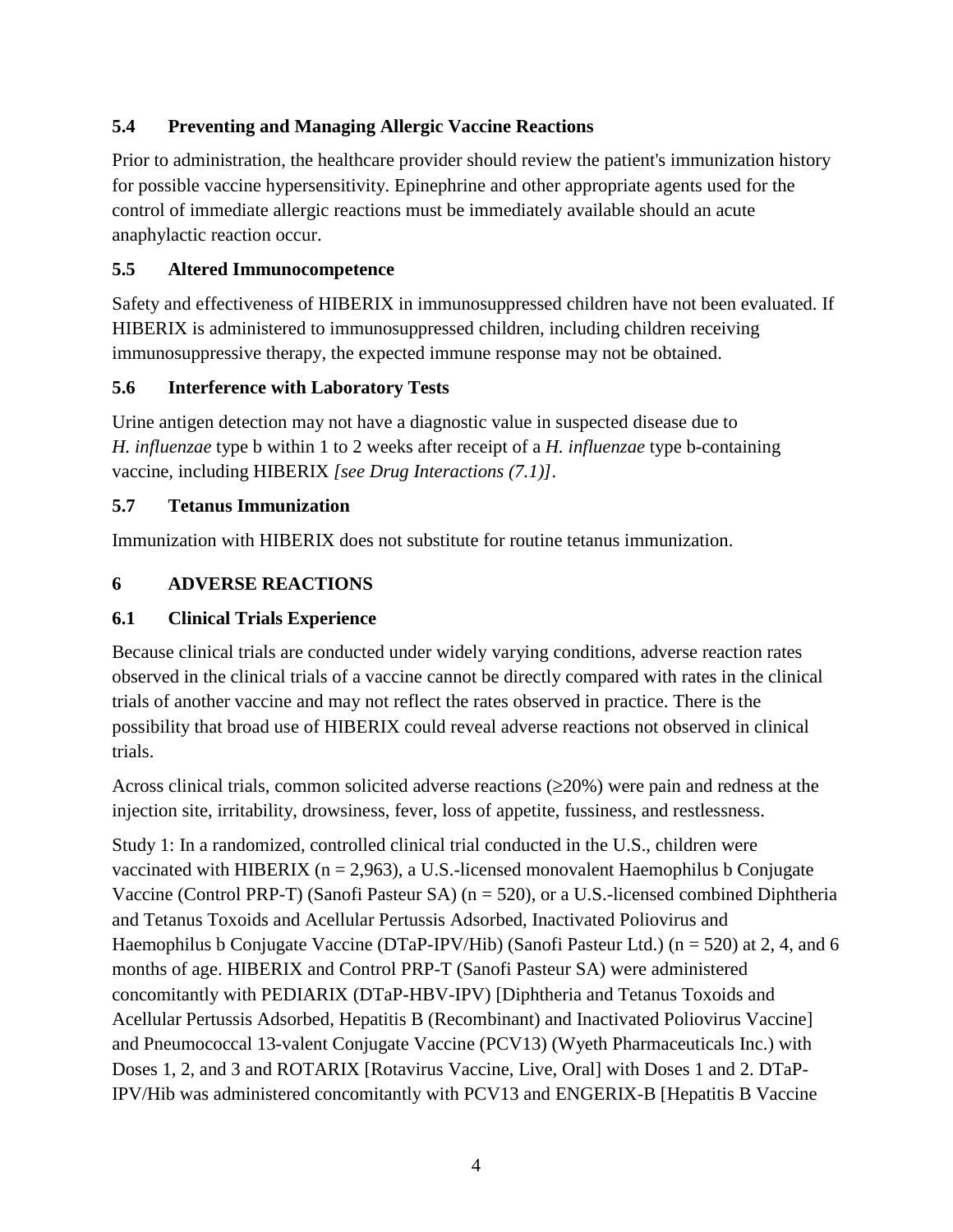### <span id="page-3-0"></span>**5.4 Preventing and Managing Allergic Vaccine Reactions**

Prior to administration, the healthcare provider should review the patient's immunization history for possible vaccine hypersensitivity. Epinephrine and other appropriate agents used for the control of immediate allergic reactions must be immediately available should an acute anaphylactic reaction occur.

### <span id="page-3-1"></span>**5.5 Altered Immunocompetence**

Safety and effectiveness of HIBERIX in immunosuppressed children have not been evaluated. If HIBERIX is administered to immunosuppressed children, including children receiving immunosuppressive therapy, the expected immune response may not be obtained.

### <span id="page-3-2"></span>**5.6 Interference with Laboratory Tests**

Urine antigen detection may not have a diagnostic value in suspected disease due to *H. influenzae* type b within 1 to 2 weeks after receipt of a *H. influenzae* type b-containing vaccine, including HIBERIX *[see Drug Interactions (7.1)]*.

#### <span id="page-3-3"></span>**5.7 Tetanus Immunization**

<span id="page-3-4"></span>Immunization with HIBERIX does not substitute for routine tetanus immunization.

### **6 ADVERSE REACTIONS**

#### <span id="page-3-5"></span>**6.1 Clinical Trials Experience**

Because clinical trials are conducted under widely varying conditions, adverse reaction rates observed in the clinical trials of a vaccine cannot be directly compared with rates in the clinical trials of another vaccine and may not reflect the rates observed in practice. There is the possibility that broad use of HIBERIX could reveal adverse reactions not observed in clinical trials.

Across clinical trials, common solicited adverse reactions  $(\geq 20\%)$  were pain and redness at the injection site, irritability, drowsiness, fever, loss of appetite, fussiness, and restlessness.

Study 1: In a randomized, controlled clinical trial conducted in the U.S., children were vaccinated with HIBERIX ( $n = 2.963$ ), a U.S.-licensed monovalent Haemophilus b Conjugate Vaccine (Control PRP-T) (Sanofi Pasteur SA) (n = 520), or a U.S.-licensed combined Diphtheria and Tetanus Toxoids and Acellular Pertussis Adsorbed, Inactivated Poliovirus and Haemophilus b Conjugate Vaccine (DTaP-IPV/Hib) (Sanofi Pasteur Ltd.) (n = 520) at 2, 4, and 6 months of age. HIBERIX and Control PRP-T (Sanofi Pasteur SA) were administered concomitantly with PEDIARIX (DTaP-HBV-IPV) [Diphtheria and Tetanus Toxoids and Acellular Pertussis Adsorbed, Hepatitis B (Recombinant) and Inactivated Poliovirus Vaccine] and Pneumococcal 13-valent Conjugate Vaccine (PCV13) (Wyeth Pharmaceuticals Inc.) with Doses 1, 2, and 3 and ROTARIX [Rotavirus Vaccine, Live, Oral] with Doses 1 and 2. DTaP-IPV/Hib was administered concomitantly with PCV13 and ENGERIX-B [Hepatitis B Vaccine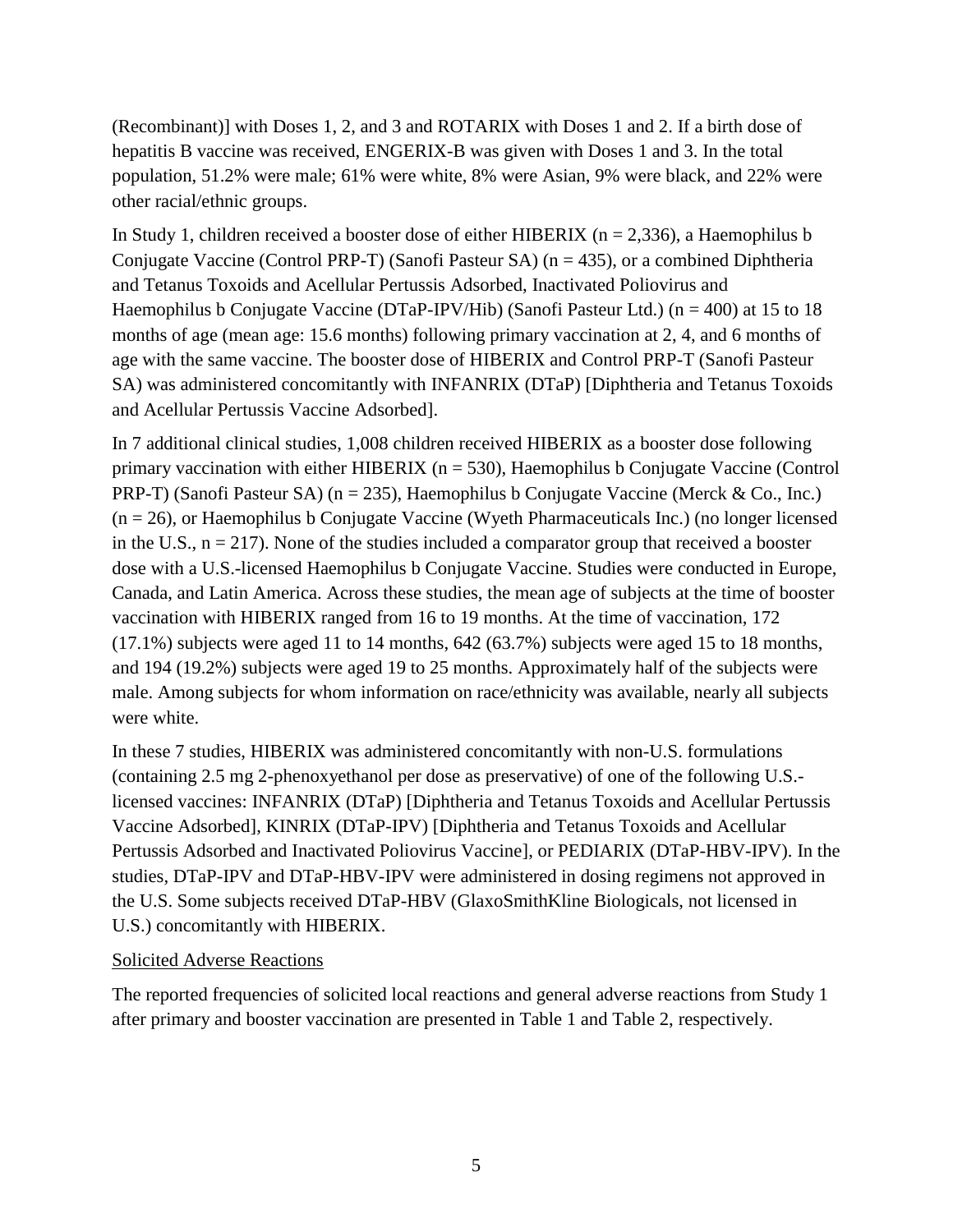(Recombinant)] with Doses 1, 2, and 3 and ROTARIX with Doses 1 and 2. If a birth dose of hepatitis B vaccine was received, ENGERIX-B was given with Doses 1 and 3. In the total population, 51.2% were male; 61% were white, 8% were Asian, 9% were black, and 22% were other racial/ethnic groups.

In Study 1, children received a booster dose of either HIBERIX ( $n = 2,336$ ), a Haemophilus b Conjugate Vaccine (Control PRP-T) (Sanofi Pasteur SA) ( $n = 435$ ), or a combined Diphtheria and Tetanus Toxoids and Acellular Pertussis Adsorbed, Inactivated Poliovirus and Haemophilus b Conjugate Vaccine (DTaP-IPV/Hib) (Sanofi Pasteur Ltd.) (n = 400) at 15 to 18 months of age (mean age: 15.6 months) following primary vaccination at 2, 4, and 6 months of age with the same vaccine. The booster dose of HIBERIX and Control PRP-T (Sanofi Pasteur SA) was administered concomitantly with INFANRIX (DTaP) [Diphtheria and Tetanus Toxoids and Acellular Pertussis Vaccine Adsorbed].

In 7 additional clinical studies, 1,008 children received HIBERIX as a booster dose following primary vaccination with either HIBERIX ( $n = 530$ ), Haemophilus b Conjugate Vaccine (Control PRP-T) (Sanofi Pasteur SA) (n = 235), Haemophilus b Conjugate Vaccine (Merck & Co., Inc.) (n = 26), or Haemophilus b Conjugate Vaccine (Wyeth Pharmaceuticals Inc.) (no longer licensed in the U.S.,  $n = 217$ ). None of the studies included a comparator group that received a booster dose with a U.S.-licensed Haemophilus b Conjugate Vaccine. Studies were conducted in Europe, Canada, and Latin America. Across these studies, the mean age of subjects at the time of booster vaccination with HIBERIX ranged from 16 to 19 months. At the time of vaccination, 172 (17.1%) subjects were aged 11 to 14 months, 642 (63.7%) subjects were aged 15 to 18 months, and 194 (19.2%) subjects were aged 19 to 25 months. Approximately half of the subjects were male. Among subjects for whom information on race/ethnicity was available, nearly all subjects were white.

In these 7 studies, HIBERIX was administered concomitantly with non-U.S. formulations (containing 2.5 mg 2-phenoxyethanol per dose as preservative) of one of the following U.S. licensed vaccines: INFANRIX (DTaP) [Diphtheria and Tetanus Toxoids and Acellular Pertussis Vaccine Adsorbed], KINRIX (DTaP-IPV) [Diphtheria and Tetanus Toxoids and Acellular Pertussis Adsorbed and Inactivated Poliovirus Vaccine], or PEDIARIX (DTaP-HBV-IPV). In the studies, DTaP-IPV and DTaP-HBV-IPV were administered in dosing regimens not approved in the U.S. Some subjects received DTaP-HBV (GlaxoSmithKline Biologicals, not licensed in U.S.) concomitantly with HIBERIX.

#### Solicited Adverse Reactions

The reported frequencies of solicited local reactions and general adverse reactions from Study 1 after primary and booster vaccination are presented in Table 1 and Table 2, respectively.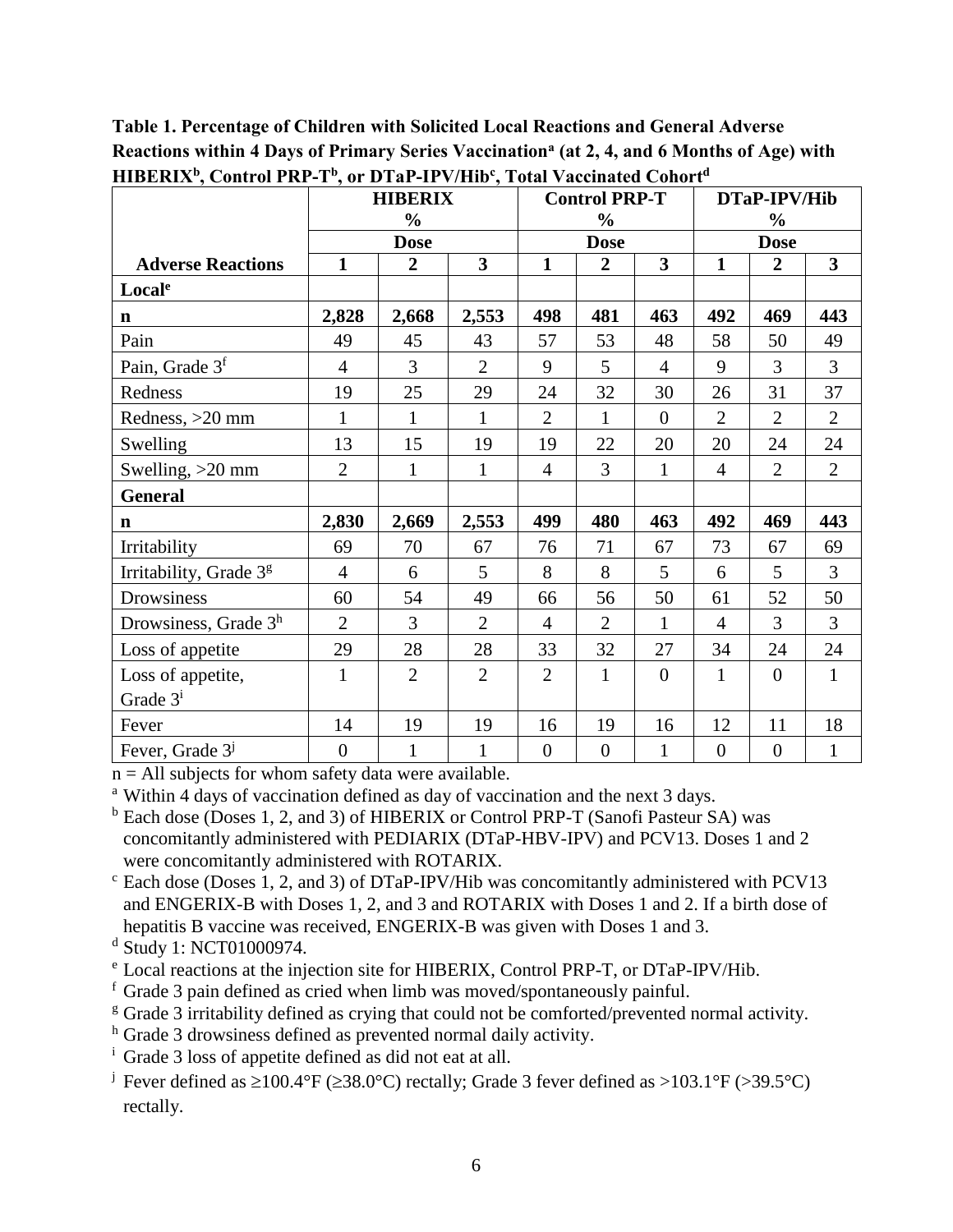|                             | <b>HIBERIX</b><br>$\frac{0}{0}$ |                |                         | <b>Control PRP-T</b><br>$\frac{0}{0}$ |                |                         | DTaP-IPV/Hib<br>$\frac{6}{9}$ |                  |                |
|-----------------------------|---------------------------------|----------------|-------------------------|---------------------------------------|----------------|-------------------------|-------------------------------|------------------|----------------|
|                             |                                 | <b>Dose</b>    |                         |                                       | <b>Dose</b>    |                         | <b>Dose</b>                   |                  |                |
| <b>Adverse Reactions</b>    | $\mathbf{1}$                    | $\overline{2}$ | $\overline{\mathbf{3}}$ | $\mathbf{1}$                          | $\overline{2}$ | $\overline{\mathbf{3}}$ | $\mathbf{1}$                  | $\overline{2}$   | 3              |
| Locale                      |                                 |                |                         |                                       |                |                         |                               |                  |                |
| $\mathbf n$                 | 2,828                           | 2,668          | 2,553                   | 498                                   | 481            | 463                     | 492                           | 469              | 443            |
| Pain                        | 49                              | 45             | 43                      | 57                                    | 53             | 48                      | 58                            | 50               | 49             |
| Pain, Grade 3 <sup>f</sup>  | $\overline{4}$                  | 3              | $\overline{2}$          | 9                                     | 5              | $\overline{4}$          | 9                             | $\overline{3}$   | $\overline{3}$ |
| Redness                     | 19                              | 25             | 29                      | 24                                    | 32             | 30                      | 26                            | 31               | 37             |
| Redness, >20 mm             | $\mathbf{1}$                    | $\mathbf{1}$   | 1                       | $\overline{2}$                        | $\mathbf{1}$   | $\Omega$                | $\overline{2}$                | $\overline{2}$   | $\overline{2}$ |
| Swelling                    | 13                              | 15             | 19                      | 19                                    | 22             | 20                      | 20                            | 24               | 24             |
| Swelling, >20 mm            | $\overline{2}$                  | 1              | 1                       | $\overline{4}$                        | 3              | 1                       | $\overline{4}$                | $\overline{2}$   | $\overline{2}$ |
| <b>General</b>              |                                 |                |                         |                                       |                |                         |                               |                  |                |
| $\mathbf n$                 | 2,830                           | 2,669          | 2,553                   | 499                                   | 480            | 463                     | 492                           | 469              | 443            |
| Irritability                | 69                              | 70             | 67                      | 76                                    | 71             | 67                      | 73                            | 67               | 69             |
| Irritability, Grade 3g      | $\overline{4}$                  | 6              | 5                       | 8                                     | 8              | 5                       | 6                             | 5                | 3              |
| Drowsiness                  | 60                              | 54             | 49                      | 66                                    | 56             | 50                      | 61                            | 52               | 50             |
| Drowsiness, Grade $3h$      | $\overline{2}$                  | 3              | $\overline{2}$          | $\overline{4}$                        | $\overline{2}$ | 1                       | $\overline{4}$                | 3                | $\overline{3}$ |
| Loss of appetite            | 29                              | 28             | 28                      | 33                                    | 32             | 27                      | 34                            | 24               | 24             |
| Loss of appetite,           | $\mathbf{1}$                    | $\overline{2}$ | $\overline{2}$          | $\overline{2}$                        | $\mathbf{1}$   | $\theta$                | $\mathbf{1}$                  | $\overline{0}$   | $\mathbf{1}$   |
| Grade 3 <sup>i</sup>        |                                 |                |                         |                                       |                |                         |                               |                  |                |
| Fever                       | 14                              | 19             | 19                      | 16                                    | 19             | 16                      | 12                            | 11               | 18             |
| Fever, Grade 3 <sup>j</sup> | $\overline{0}$                  | $\mathbf{1}$   | 1                       | $\overline{0}$                        | $\overline{0}$ | 1                       | $\boldsymbol{0}$              | $\boldsymbol{0}$ | $\mathbf{1}$   |

**Table 1. Percentage of Children with Solicited Local Reactions and General Adverse Reactions within 4 Days of Primary Series Vaccination<sup>a</sup> (at 2, 4, and 6 Months of Age) with HIBERIX<sup>b</sup> , Control PRP-T<sup>b</sup> , or DTaP-IPV/Hib<sup>c</sup> , Total Vaccinated Cohort<sup>d</sup>**

 $n = All$  subjects for whom safety data were available.

<sup>a</sup> Within 4 days of vaccination defined as day of vaccination and the next 3 days.

<sup>b</sup> Each dose (Doses 1, 2, and 3) of HIBERIX or Control PRP-T (Sanofi Pasteur SA) was concomitantly administered with PEDIARIX (DTaP-HBV-IPV) and PCV13. Doses 1 and 2 were concomitantly administered with ROTARIX.

 $c$  Each dose (Doses 1, 2, and 3) of DTaP-IPV/Hib was concomitantly administered with PCV13 and ENGERIX-B with Doses 1, 2, and 3 and ROTARIX with Doses 1 and 2. If a birth dose of hepatitis B vaccine was received, ENGERIX-B was given with Doses 1 and 3.

<sup>d</sup> Study 1: NCT01000974.

- <sup>e</sup> Local reactions at the injection site for HIBERIX, Control PRP-T, or DTaP-IPV/Hib.
- <sup>f</sup> Grade 3 pain defined as cried when limb was moved/spontaneously painful.

<sup>g</sup> Grade 3 irritability defined as crying that could not be comforted/prevented normal activity.

<sup>h</sup> Grade 3 drowsiness defined as prevented normal daily activity.

<sup>i</sup> Grade 3 loss of appetite defined as did not eat at all.

<sup>j</sup> Fever defined as  $\geq 100.4$ °F ( $\geq 38.0$ °C) rectally; Grade 3 fever defined as  $> 103.1$ °F ( $> 39.5$ °C) rectally.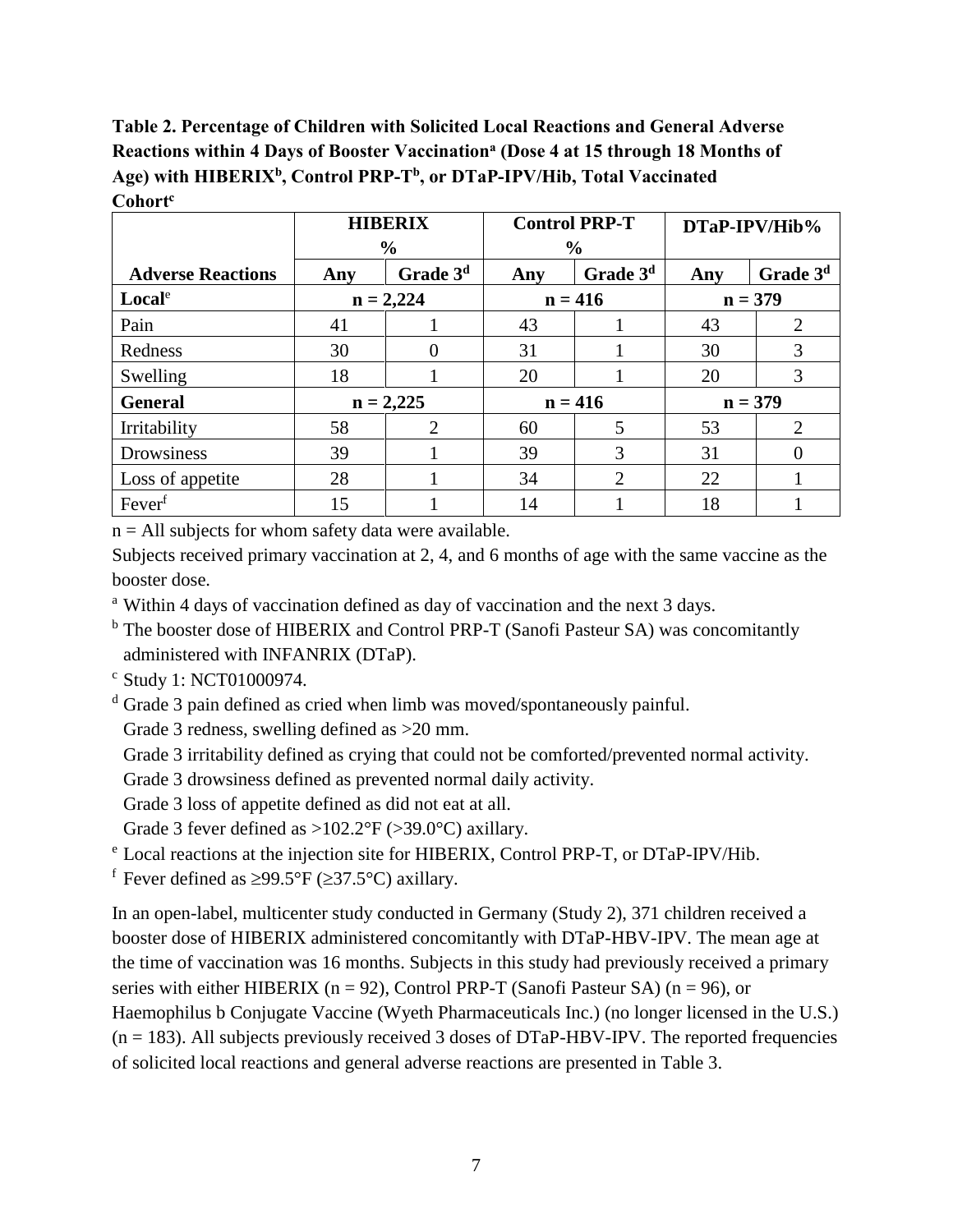**Table 2. Percentage of Children with Solicited Local Reactions and General Adverse Reactions within 4 Days of Booster Vaccination<sup>a</sup> (Dose 4 at 15 through 18 Months of Age) with HIBERIX<sup>b</sup> , Control PRP-T<sup>b</sup> , or DTaP-IPV/Hib, Total Vaccinated Cohort<sup>c</sup>**

|                          |             | <b>HIBERIX</b>       | <b>Control PRP-T</b> |                      | DTaP-IPV/Hib% |                      |  |
|--------------------------|-------------|----------------------|----------------------|----------------------|---------------|----------------------|--|
|                          |             | $\frac{0}{0}$        | $\frac{6}{9}$        |                      |               |                      |  |
| <b>Adverse Reactions</b> | Any         | Grade 3 <sup>d</sup> | Any                  | Grade 3 <sup>d</sup> | Any           | Grade 3 <sup>d</sup> |  |
| Local <sup>e</sup>       | $n = 2,224$ |                      | $n = 416$            |                      |               | $n = 379$            |  |
| Pain                     | 41          |                      | 43                   |                      | 43            |                      |  |
| Redness                  | 30          |                      | 31                   |                      | 30            | 3                    |  |
| Swelling                 | 18          |                      | 20                   |                      | 20            | 3                    |  |
| <b>General</b>           |             | $n = 2,225$          |                      | $n = 416$            |               | $n = 379$            |  |
| Irritability             | 58          | 2                    | 60                   | 5                    | 53            | 2                    |  |
| Drowsiness               | 39          |                      | 39                   | 3                    | 31            | $\Omega$             |  |
| Loss of appetite         | 28          |                      | 34                   | 2                    | 22            |                      |  |
| Fever <sup>f</sup>       | 15          |                      | 14                   |                      | 18            |                      |  |

 $n = All$  subjects for whom safety data were available.

Subjects received primary vaccination at 2, 4, and 6 months of age with the same vaccine as the booster dose.

<sup>a</sup> Within 4 days of vaccination defined as day of vaccination and the next 3 days.

<sup>b</sup> The booster dose of HIBERIX and Control PRP-T (Sanofi Pasteur SA) was concomitantly administered with INFANRIX (DTaP).

<sup>c</sup> Study 1: NCT01000974.

<sup>d</sup> Grade 3 pain defined as cried when limb was moved/spontaneously painful.

Grade 3 redness, swelling defined as  $>20$  mm.

Grade 3 irritability defined as crying that could not be comforted/prevented normal activity.

Grade 3 drowsiness defined as prevented normal daily activity.

Grade 3 loss of appetite defined as did not eat at all.

Grade 3 fever defined as  $>102.2$ °F ( $>39.0$ °C) axillary.

<sup>e</sup> Local reactions at the injection site for HIBERIX, Control PRP-T, or DTaP-IPV/Hib.

<sup>f</sup> Fever defined as  $\geq$ 99.5°F ( $\geq$ 37.5°C) axillary.

In an open-label, multicenter study conducted in Germany (Study 2), 371 children received a booster dose of HIBERIX administered concomitantly with DTaP-HBV-IPV. The mean age at the time of vaccination was 16 months. Subjects in this study had previously received a primary series with either HIBERIX ( $n = 92$ ), Control PRP-T (Sanofi Pasteur SA) ( $n = 96$ ), or Haemophilus b Conjugate Vaccine (Wyeth Pharmaceuticals Inc.) (no longer licensed in the U.S.)  $(n = 183)$ . All subjects previously received 3 doses of DTaP-HBV-IPV. The reported frequencies of solicited local reactions and general adverse reactions are presented in Table 3.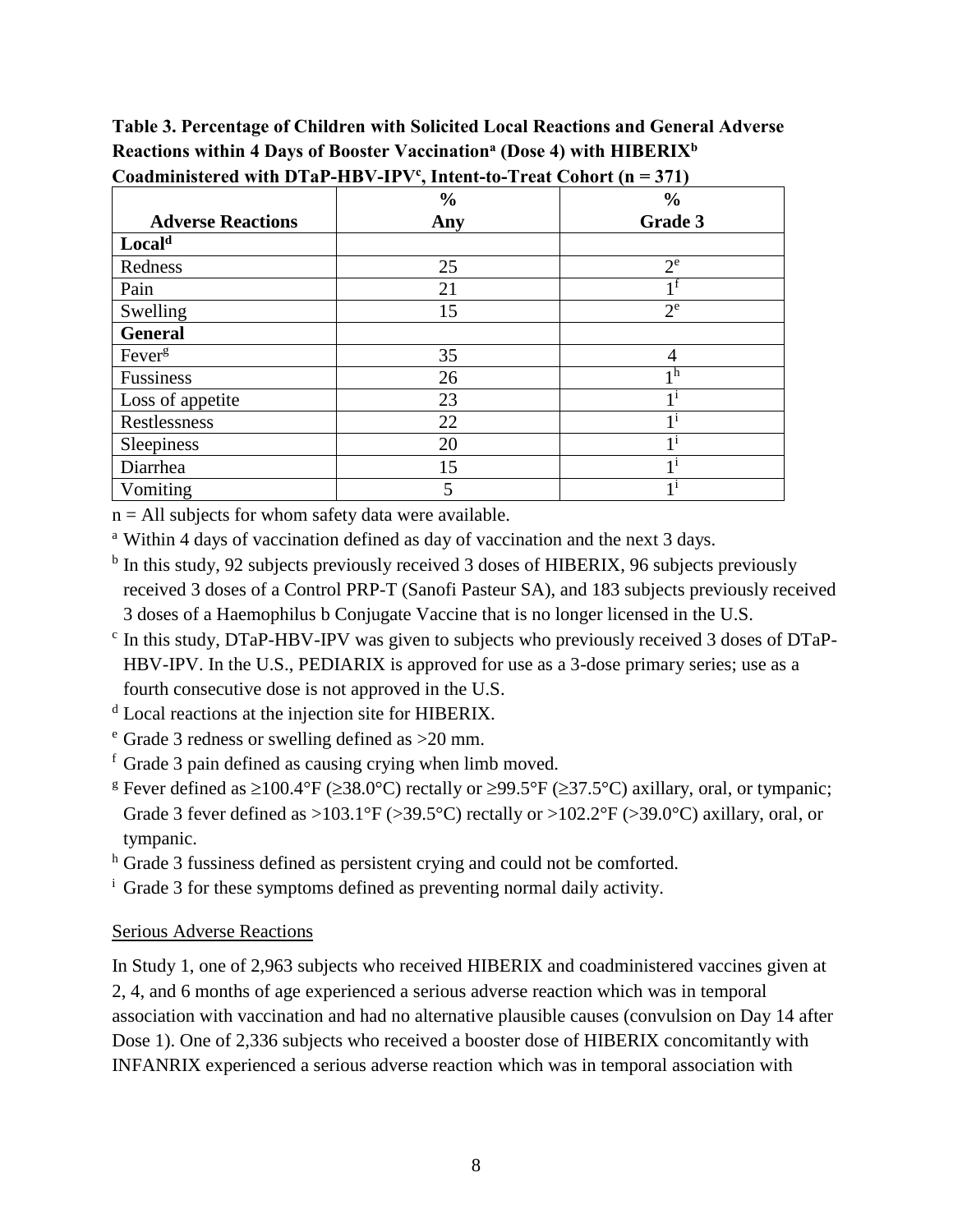**Table 3. Percentage of Children with Solicited Local Reactions and General Adverse Reactions within 4 Days of Booster Vaccination<sup>a</sup> (Dose 4) with HIBERIX<sup>b</sup>**

|                          | $\frac{0}{0}$ | $\frac{0}{0}$  |
|--------------------------|---------------|----------------|
| <b>Adverse Reactions</b> | Any           | Grade 3        |
| Local <sup>d</sup>       |               |                |
| Redness                  | 25            | $2^e$          |
| Pain                     | 21            | 1 I            |
| Swelling                 | 15            | $2^e$          |
| <b>General</b>           |               |                |
| Fever <sup>g</sup>       | 35            | 4              |
| Fussiness                | 26            | 1 <sup>h</sup> |
| Loss of appetite         | 23            | $1^{\rm i}$    |
| Restlessness             | 22            | 1 <sup>1</sup> |
| Sleepiness               | 20            | 11             |
| Diarrhea                 | 15            | 11             |
| Vomiting                 | 5             | 1 <sup>1</sup> |

**Coadministered with DTaP-HBV-IPV<sup>c</sup> , Intent-to-Treat Cohort (n = 371)**

 $n = All$  subjects for whom safety data were available.

<sup>a</sup> Within 4 days of vaccination defined as day of vaccination and the next 3 days.

- <sup>b</sup> In this study, 92 subjects previously received 3 doses of HIBERIX, 96 subjects previously received 3 doses of a Control PRP-T (Sanofi Pasteur SA), and 183 subjects previously received 3 doses of a Haemophilus b Conjugate Vaccine that is no longer licensed in the U.S.
- <sup>c</sup> In this study, DTaP-HBV-IPV was given to subjects who previously received 3 doses of DTaP-HBV-IPV. In the U.S., PEDIARIX is approved for use as a 3-dose primary series; use as a fourth consecutive dose is not approved in the U.S.
- <sup>d</sup> Local reactions at the injection site for HIBERIX.

<sup>e</sup> Grade 3 redness or swelling defined as >20 mm.

<sup>f</sup> Grade 3 pain defined as causing crying when limb moved.

<sup>g</sup> Fever defined as  $\geq 100.4$ °F ( $\geq 38.0$ °C) rectally or  $\geq 99.5$ °F ( $\geq 37.5$ °C) axillary, oral, or tympanic; Grade 3 fever defined as  $>103.1^{\circ}F$  ( $>39.5^{\circ}C$ ) rectally or  $>102.2^{\circ}F$  ( $>39.0^{\circ}C$ ) axillary, oral, or tympanic.

h Grade 3 fussiness defined as persistent crying and could not be comforted.

<sup>i</sup> Grade 3 for these symptoms defined as preventing normal daily activity.

#### Serious Adverse Reactions

In Study 1, one of 2,963 subjects who received HIBERIX and coadministered vaccines given at 2, 4, and 6 months of age experienced a serious adverse reaction which was in temporal association with vaccination and had no alternative plausible causes (convulsion on Day 14 after Dose 1). One of 2,336 subjects who received a booster dose of HIBERIX concomitantly with INFANRIX experienced a serious adverse reaction which was in temporal association with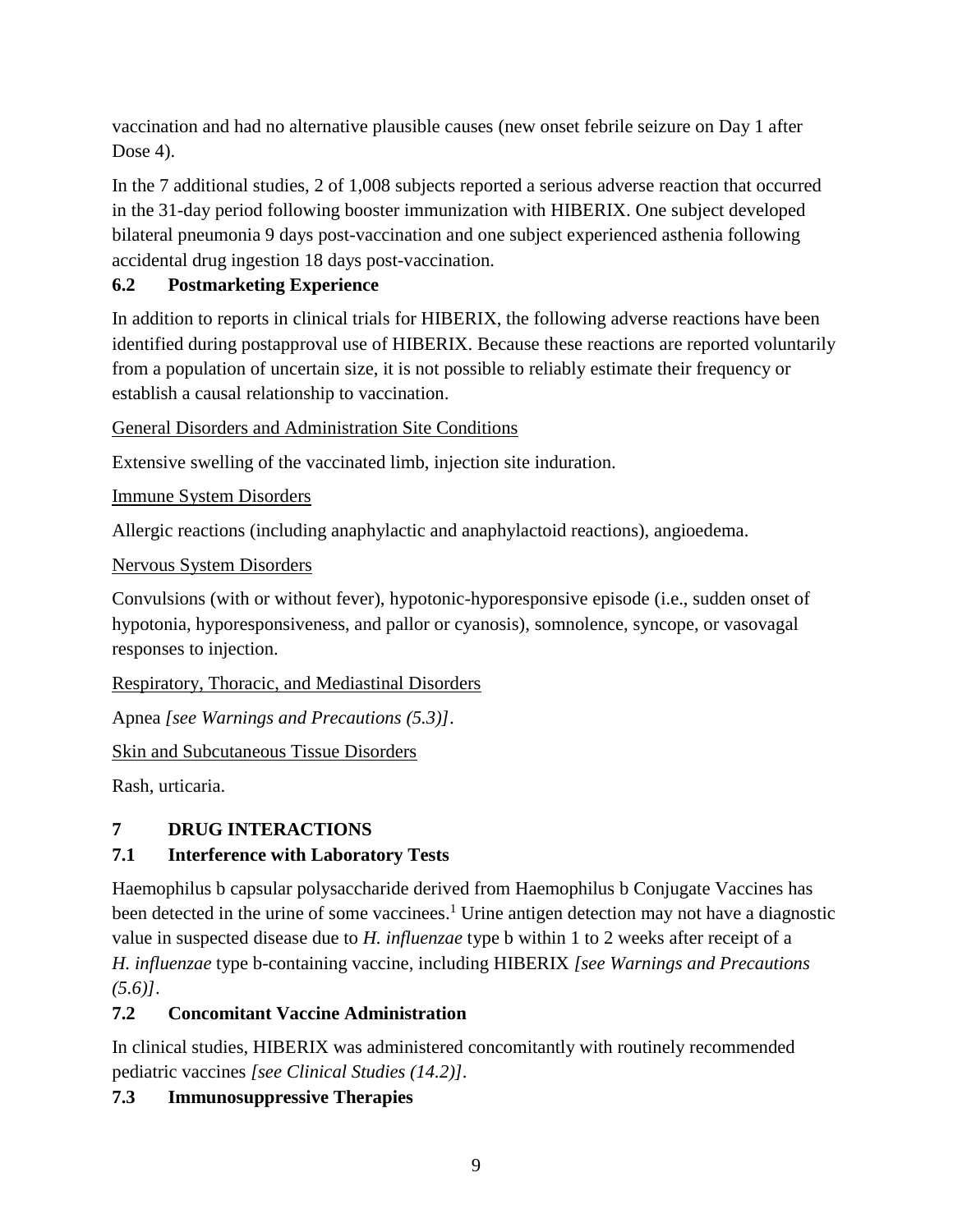vaccination and had no alternative plausible causes (new onset febrile seizure on Day 1 after Dose 4).

In the 7 additional studies, 2 of 1,008 subjects reported a serious adverse reaction that occurred in the 31-day period following booster immunization with HIBERIX. One subject developed bilateral pneumonia 9 days post-vaccination and one subject experienced asthenia following accidental drug ingestion 18 days post-vaccination.

## <span id="page-8-0"></span>**6.2 Postmarketing Experience**

In addition to reports in clinical trials for HIBERIX, the following adverse reactions have been identified during postapproval use of HIBERIX. Because these reactions are reported voluntarily from a population of uncertain size, it is not possible to reliably estimate their frequency or establish a causal relationship to vaccination.

General Disorders and Administration Site Conditions

Extensive swelling of the vaccinated limb, injection site induration.

Immune System Disorders

Allergic reactions (including anaphylactic and anaphylactoid reactions), angioedema.

Nervous System Disorders

Convulsions (with or without fever), hypotonic-hyporesponsive episode (i.e., sudden onset of hypotonia, hyporesponsiveness, and pallor or cyanosis), somnolence, syncope, or vasovagal responses to injection.

Respiratory, Thoracic, and Mediastinal Disorders

Apnea *[see Warnings and Precautions (5.3)]*.

Skin and Subcutaneous Tissue Disorders

<span id="page-8-1"></span>Rash, urticaria.

### **7 DRUG INTERACTIONS**

## <span id="page-8-2"></span>**7.1 Interference with Laboratory Tests**

Haemophilus b capsular polysaccharide derived from Haemophilus b Conjugate Vaccines has been detected in the urine of some vaccinees.<sup>1</sup> Urine antigen detection may not have a diagnostic value in suspected disease due to *H. influenzae* type b within 1 to 2 weeks after receipt of a *H. influenzae* type b-containing vaccine, including HIBERIX *[see Warnings and Precautions (5.6)]*.

## <span id="page-8-3"></span>**7.2 Concomitant Vaccine Administration**

In clinical studies, HIBERIX was administered concomitantly with routinely recommended pediatric vaccines *[see Clinical Studies (14.2)].*

### <span id="page-8-4"></span>**7.3 Immunosuppressive Therapies**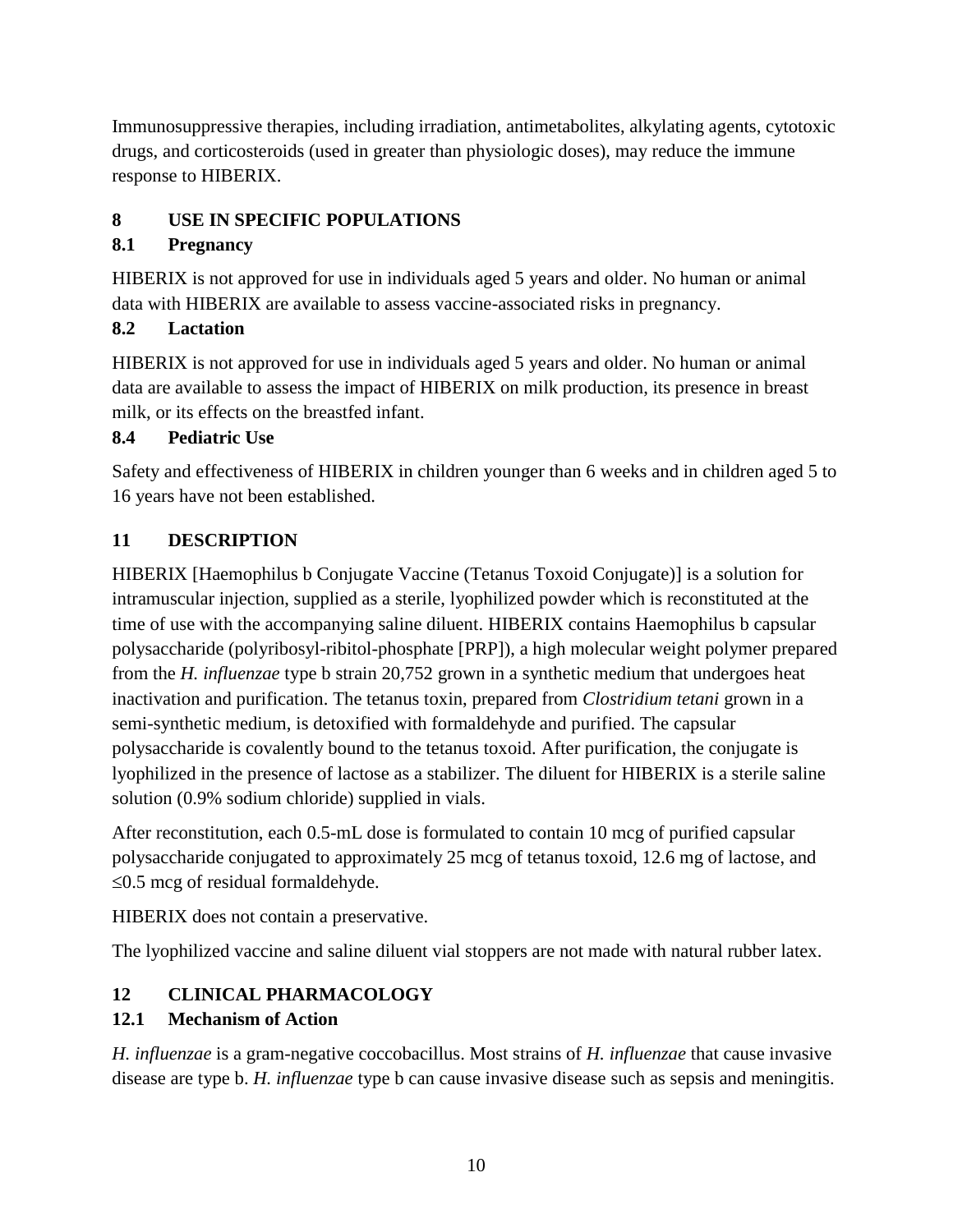Immunosuppressive therapies, including irradiation, antimetabolites, alkylating agents, cytotoxic drugs, and corticosteroids (used in greater than physiologic doses), may reduce the immune response to HIBERIX.

## <span id="page-9-0"></span>**8 USE IN SPECIFIC POPULATIONS**

## <span id="page-9-1"></span>**8.1 Pregnancy**

HIBERIX is not approved for use in individuals aged 5 years and older. No human or animal data with HIBERIX are available to assess vaccine-associated risks in pregnancy.

## **8.2 Lactation**

HIBERIX is not approved for use in individuals aged 5 years and older. No human or animal data are available to assess the impact of HIBERIX on milk production, its presence in breast milk, or its effects on the breastfed infant.

## <span id="page-9-2"></span>**8.4 Pediatric Use**

Safety and effectiveness of HIBERIX in children younger than 6 weeks and in children aged 5 to 16 years have not been established.

## <span id="page-9-3"></span>**11 DESCRIPTION**

HIBERIX [Haemophilus b Conjugate Vaccine (Tetanus Toxoid Conjugate)] is a solution for intramuscular injection, supplied as a sterile, lyophilized powder which is reconstituted at the time of use with the accompanying saline diluent. HIBERIX contains Haemophilus b capsular polysaccharide (polyribosyl-ribitol-phosphate [PRP]), a high molecular weight polymer prepared from the *H. influenzae* type b strain 20,752 grown in a synthetic medium that undergoes heat inactivation and purification. The tetanus toxin, prepared from *Clostridium tetani* grown in a semi-synthetic medium, is detoxified with formaldehyde and purified. The capsular polysaccharide is covalently bound to the tetanus toxoid. After purification, the conjugate is lyophilized in the presence of lactose as a stabilizer. The diluent for HIBERIX is a sterile saline solution (0.9% sodium chloride) supplied in vials.

After reconstitution, each 0.5-mL dose is formulated to contain 10 mcg of purified capsular polysaccharide conjugated to approximately 25 mcg of tetanus toxoid, 12.6 mg of lactose, and  $\leq$ 0.5 mcg of residual formaldehyde.

HIBERIX does not contain a preservative.

The lyophilized vaccine and saline diluent vial stoppers are not made with natural rubber latex.

# <span id="page-9-4"></span>**12 CLINICAL PHARMACOLOGY**

## <span id="page-9-5"></span>**12.1 Mechanism of Action**

*H. influenzae* is a gram-negative coccobacillus. Most strains of *H. influenzae* that cause invasive disease are type b. *H. influenzae* type b can cause invasive disease such as sepsis and meningitis.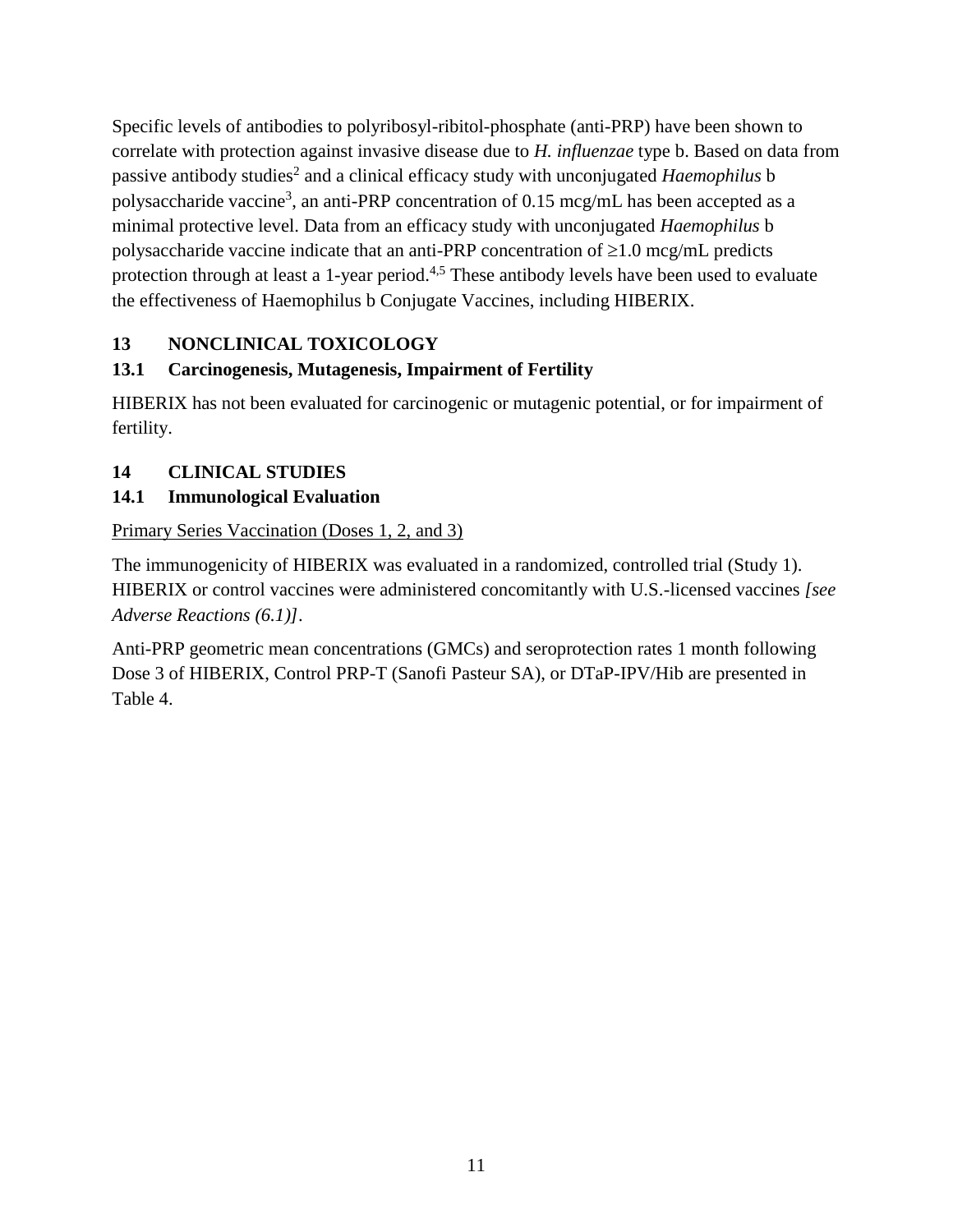Specific levels of antibodies to polyribosyl-ribitol-phosphate (anti-PRP) have been shown to correlate with protection against invasive disease due to *H. influenzae* type b. Based on data from passive antibody studies<sup>2</sup> and a clinical efficacy study with unconjugated *Haemophilus* b polysaccharide vaccine<sup>3</sup>, an anti-PRP concentration of 0.15 mcg/mL has been accepted as a minimal protective level. Data from an efficacy study with unconjugated *Haemophilus* b polysaccharide vaccine indicate that an anti-PRP concentration of  $\geq 1.0$  mcg/mL predicts protection through at least a 1-year period.<sup>4,5</sup> These antibody levels have been used to evaluate the effectiveness of Haemophilus b Conjugate Vaccines, including HIBERIX.

## <span id="page-10-0"></span>**13 NONCLINICAL TOXICOLOGY**

## <span id="page-10-1"></span>**13.1 Carcinogenesis, Mutagenesis, Impairment of Fertility**

HIBERIX has not been evaluated for carcinogenic or mutagenic potential, or for impairment of fertility.

## <span id="page-10-2"></span>**14 CLINICAL STUDIES**

## <span id="page-10-3"></span>**14.1 Immunological Evaluation**

Primary Series Vaccination (Doses 1, 2, and 3)

The immunogenicity of HIBERIX was evaluated in a randomized, controlled trial (Study 1). HIBERIX or control vaccines were administered concomitantly with U.S.-licensed vaccines *[see Adverse Reactions (6.1)]*.

Anti-PRP geometric mean concentrations (GMCs) and seroprotection rates 1 month following Dose 3 of HIBERIX, Control PRP-T (Sanofi Pasteur SA), or DTaP-IPV/Hib are presented in Table 4.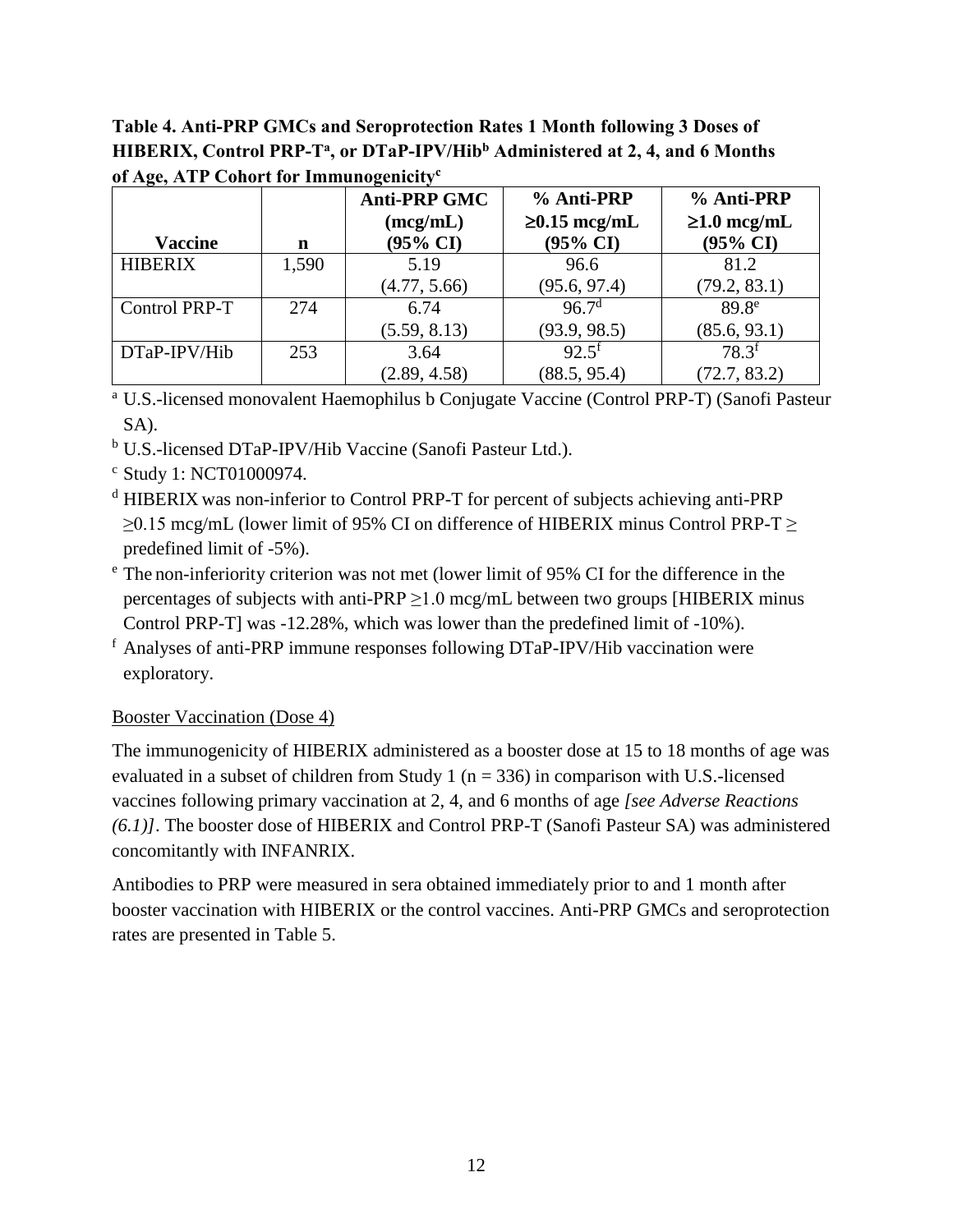**Table 4. Anti-PRP GMCs and Seroprotection Rates 1 Month following 3 Doses of HIBERIX, Control PRP-T<sup>a</sup> , or DTaP-IPV/Hib<sup>b</sup> Administered at 2, 4, and 6 Months of Age, ATP Cohort for Immunogenicity<sup>c</sup>**

| <b>Vaccine</b> | n     | <b>Anti-PRP GMC</b><br>(mcg/mL)<br>$(95\% \text{ CI})$ | % Anti-PRP<br>$\geq 0.15$ mcg/mL<br>$(95\% \text{ CI})$ | % Anti-PRP<br>$\geq 1.0$ mcg/mL<br>$(95\% \text{ CI})$ |
|----------------|-------|--------------------------------------------------------|---------------------------------------------------------|--------------------------------------------------------|
| <b>HIBERIX</b> | 1,590 | 5.19                                                   | 96.6                                                    | 81.2                                                   |
|                |       | (4.77, 5.66)                                           | (95.6, 97.4)                                            | (79.2, 83.1)                                           |
| Control PRP-T  | 274   | 6.74                                                   | 96.7 <sup>d</sup>                                       | 89.8 <sup>e</sup>                                      |
|                |       | (5.59, 8.13)                                           | (93.9, 98.5)                                            | (85.6, 93.1)                                           |
| DTaP-IPV/Hib   | 253   | 3.64                                                   | $92.5^{\rm f}$                                          | $78.3^{f}$                                             |
|                |       | (2.89, 4.58)                                           | (88.5, 95.4)                                            | (72.7, 83.2)                                           |

<sup>a</sup> U.S.-licensed monovalent Haemophilus b Conjugate Vaccine (Control PRP-T) (Sanofi Pasteur SA).

- <sup>b</sup> U.S.-licensed DTaP-IPV/Hib Vaccine (Sanofi Pasteur Ltd.).
- <sup>c</sup> Study 1: NCT01000974.
- <sup>d</sup> HIBERIX was non-inferior to Control PRP-T for percent of subjects achieving anti-PRP ≥0.15 mcg/mL (lower limit of 95% CI on difference of HIBERIX minus Control PRP-T ≥ predefined limit of -5%).
- <sup>e</sup> The non-inferiority criterion was not met (lower limit of 95% CI for the difference in the percentages of subjects with anti-PRP  $\geq$ 1.0 mcg/mL between two groups [HIBERIX minus Control PRP-T] was -12.28%, which was lower than the predefined limit of -10%).
- <sup>f</sup> Analyses of anti-PRP immune responses following DTaP-IPV/Hib vaccination were exploratory.

#### Booster Vaccination (Dose 4)

The immunogenicity of HIBERIX administered as a booster dose at 15 to 18 months of age was evaluated in a subset of children from Study 1 ( $n = 336$ ) in comparison with U.S.-licensed vaccines following primary vaccination at 2, 4, and 6 months of age *[see Adverse Reactions (6.1)]*. The booster dose of HIBERIX and Control PRP-T (Sanofi Pasteur SA) was administered concomitantly with INFANRIX.

Antibodies to PRP were measured in sera obtained immediately prior to and 1 month after booster vaccination with HIBERIX or the control vaccines. Anti-PRP GMCs and seroprotection rates are presented in Table 5.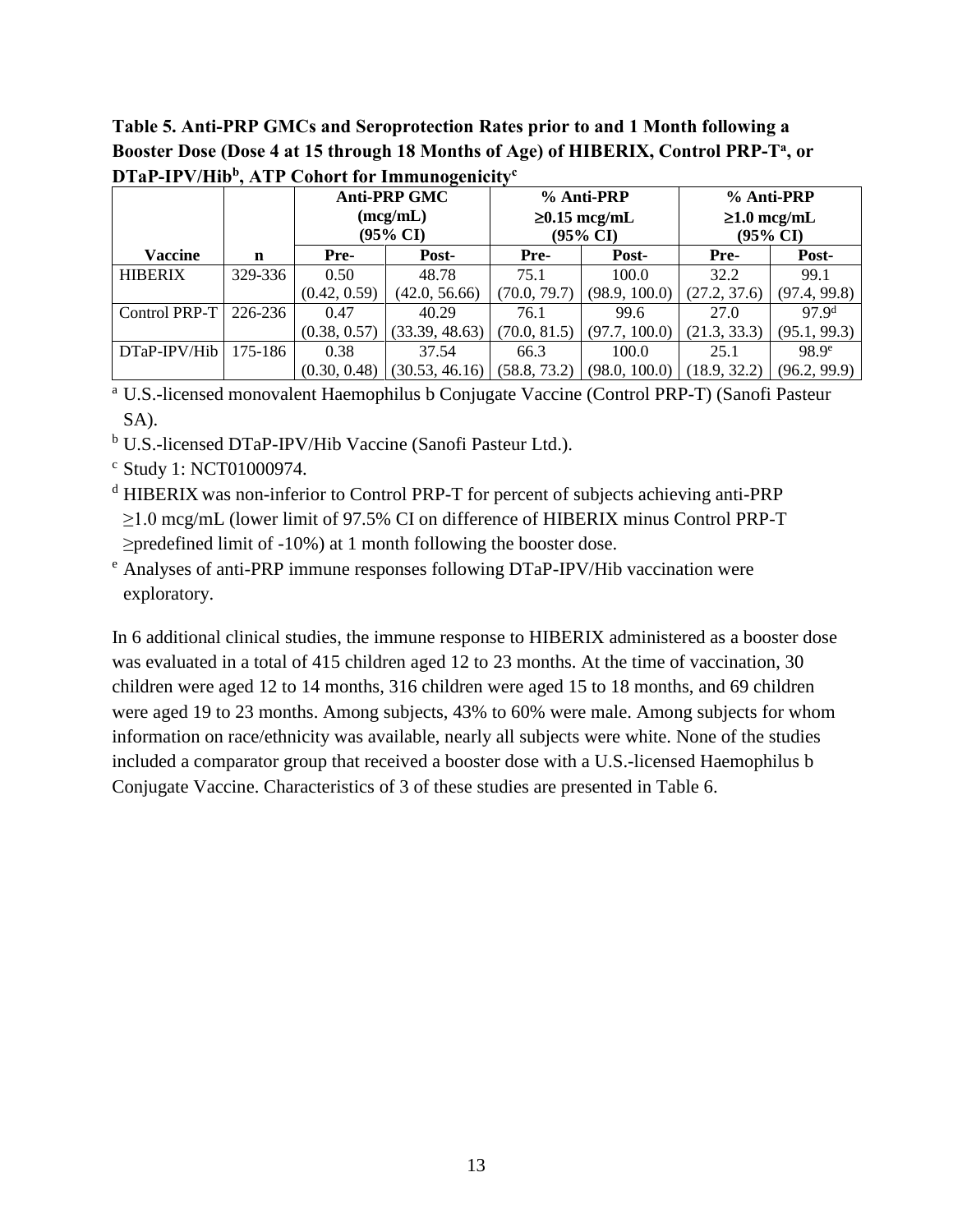## **Table 5. Anti-PRP GMCs and Seroprotection Rates prior to and 1 Month following a Booster Dose (Dose 4 at 15 through 18 Months of Age) of HIBERIX, Control PRP-T<sup>a</sup> , or DTaP-IPV/Hib<sup>b</sup> , ATP Cohort for Immunogenicity<sup>c</sup>**

|                           |         | <b>Anti-PRP GMC</b><br>% Anti-PRP |                | % Anti-PRP   |                                           |                               |                   |
|---------------------------|---------|-----------------------------------|----------------|--------------|-------------------------------------------|-------------------------------|-------------------|
|                           |         | (mcg/mL)<br>$(95\% \text{ CI})$   |                |              | $\geq 0.15$ mcg/mL<br>$(95\% \text{ CI})$ | $\geq 1.0$ mcg/mL<br>(95% CI) |                   |
| <b>Vaccine</b>            | n       | Pre-                              | Post-          | Pre-         | Post-                                     | Pre-                          | Post-             |
| <b>HIBERIX</b>            | 329-336 | 0.50                              | 48.78          | 75.1         | 100.0                                     | 32.2                          | 99.1              |
|                           |         | (0.42, 0.59)                      | (42.0, 56.66)  | (70.0, 79.7) | (98.9, 100.0)                             | (27.2, 37.6)                  | (97.4, 99.8)      |
| Control PRP-T   $226-236$ |         | 0.47                              | 40.29          | 76.1         | 99.6                                      | 27.0                          | 97.9 <sup>d</sup> |
|                           |         | (0.38, 0.57)                      | (33.39, 48.63) | (70.0, 81.5) | (97.7, 100.0)                             | (21.3, 33.3)                  | (95.1, 99.3)      |
| DTaP-IPV/Hib              | 175-186 | 0.38                              | 37.54          | 66.3         | 100.0                                     | 25.1                          | 98.9 <sup>e</sup> |
|                           |         | (0.30, 0.48)                      | (30.53, 46.16) | (58.8, 73.2) | (98.0, 100.0)                             | 18.9, 32.2)                   | (96.2, 99.9)      |

<sup>a</sup> U.S.-licensed monovalent Haemophilus b Conjugate Vaccine (Control PRP-T) (Sanofi Pasteur SA).

- <sup>b</sup> U.S.-licensed DTaP-IPV/Hib Vaccine (Sanofi Pasteur Ltd.).
- <sup>c</sup> Study 1: NCT01000974.
- <sup>d</sup> HIBERIX was non-inferior to Control PRP-T for percent of subjects achieving anti-PRP ≥1.0 mcg/mL (lower limit of 97.5% CI on difference of HIBERIX minus Control PRP-T ≥predefined limit of -10%) at 1 month following the booster dose.
- <sup>e</sup> Analyses of anti-PRP immune responses following DTaP-IPV/Hib vaccination were exploratory.

In 6 additional clinical studies, the immune response to HIBERIX administered as a booster dose was evaluated in a total of 415 children aged 12 to 23 months. At the time of vaccination, 30 children were aged 12 to 14 months, 316 children were aged 15 to 18 months, and 69 children were aged 19 to 23 months. Among subjects, 43% to 60% were male. Among subjects for whom information on race/ethnicity was available, nearly all subjects were white. None of the studies included a comparator group that received a booster dose with a U.S.-licensed Haemophilus b Conjugate Vaccine. Characteristics of 3 of these studies are presented in Table 6.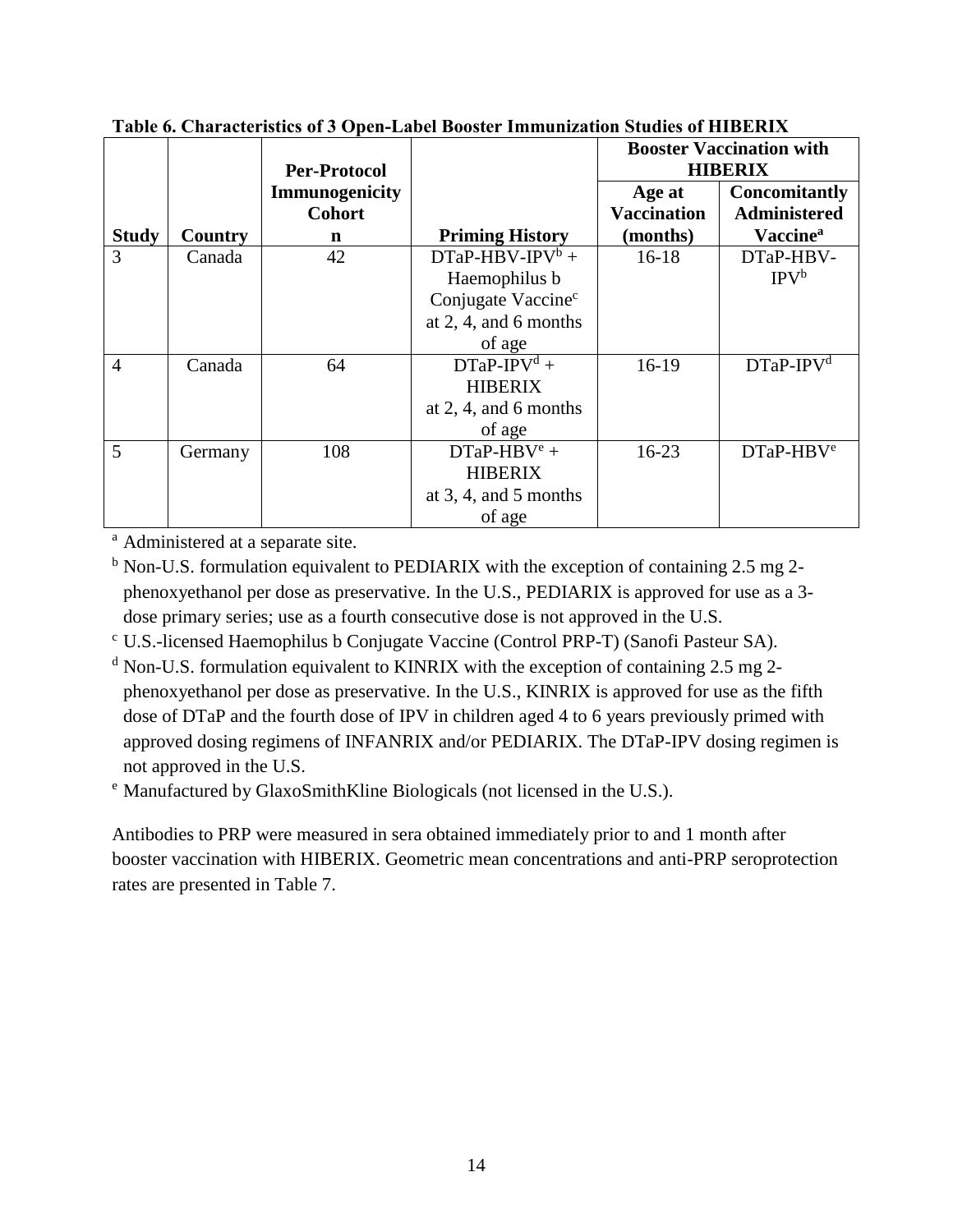|                |                | <b>Per-Protocol</b> |                                | <b>Booster Vaccination with</b><br><b>HIBERIX</b> |                             |
|----------------|----------------|---------------------|--------------------------------|---------------------------------------------------|-----------------------------|
|                |                | Immunogenicity      |                                | Age at                                            | <b>Concomitantly</b>        |
|                |                | <b>Cohort</b>       |                                | <b>Vaccination</b>                                | <b>Administered</b>         |
| <b>Study</b>   | <b>Country</b> | n                   | <b>Priming History</b>         | (months)                                          | <b>Vaccine</b> <sup>a</sup> |
| 3              | Canada         | 42                  | $DTaP-HBV-IPV^b +$             | $16-18$                                           | DTaP-HBV-                   |
|                |                |                     | Haemophilus b                  |                                                   | IPV <sup>b</sup>            |
|                |                |                     | Conjugate Vaccine <sup>c</sup> |                                                   |                             |
|                |                |                     | at $2, 4$ , and 6 months       |                                                   |                             |
|                |                |                     | of age                         |                                                   |                             |
| $\overline{4}$ | Canada         | 64                  | $DTaP-IPVd +$                  | $16-19$                                           | $DTaP-IPVd$                 |
|                |                |                     | <b>HIBERIX</b>                 |                                                   |                             |
|                |                |                     | at $2, 4$ , and 6 months       |                                                   |                             |
|                |                |                     | of age                         |                                                   |                             |
| 5              | Germany        | 108                 | $DTaP-HBVe +$                  | $16-23$                                           | $DTaP-HBVe$                 |
|                |                |                     | <b>HIBERIX</b>                 |                                                   |                             |
|                |                |                     | at $3, 4$ , and $5$ months     |                                                   |                             |
|                |                |                     | of age                         |                                                   |                             |

**Table 6. Characteristics of 3 Open-Label Booster Immunization Studies of HIBERIX**

<sup>a</sup> Administered at a separate site.

 $<sup>b</sup>$  Non-U.S. formulation equivalent to PEDIARIX with the exception of containing 2.5 mg 2-</sup> phenoxyethanol per dose as preservative. In the U.S., PEDIARIX is approved for use as a 3 dose primary series; use as a fourth consecutive dose is not approved in the U.S.

- <sup>c</sup> U.S.-licensed Haemophilus b Conjugate Vaccine (Control PRP-T) (Sanofi Pasteur SA).
- $d$  Non-U.S. formulation equivalent to KINRIX with the exception of containing 2.5 mg 2phenoxyethanol per dose as preservative. In the U.S., KINRIX is approved for use as the fifth dose of DTaP and the fourth dose of IPV in children aged 4 to 6 years previously primed with approved dosing regimens of INFANRIX and/or PEDIARIX. The DTaP-IPV dosing regimen is not approved in the U.S.

<sup>e</sup> Manufactured by GlaxoSmithKline Biologicals (not licensed in the U.S.).

Antibodies to PRP were measured in sera obtained immediately prior to and 1 month after booster vaccination with HIBERIX. Geometric mean concentrations and anti-PRP seroprotection rates are presented in Table 7.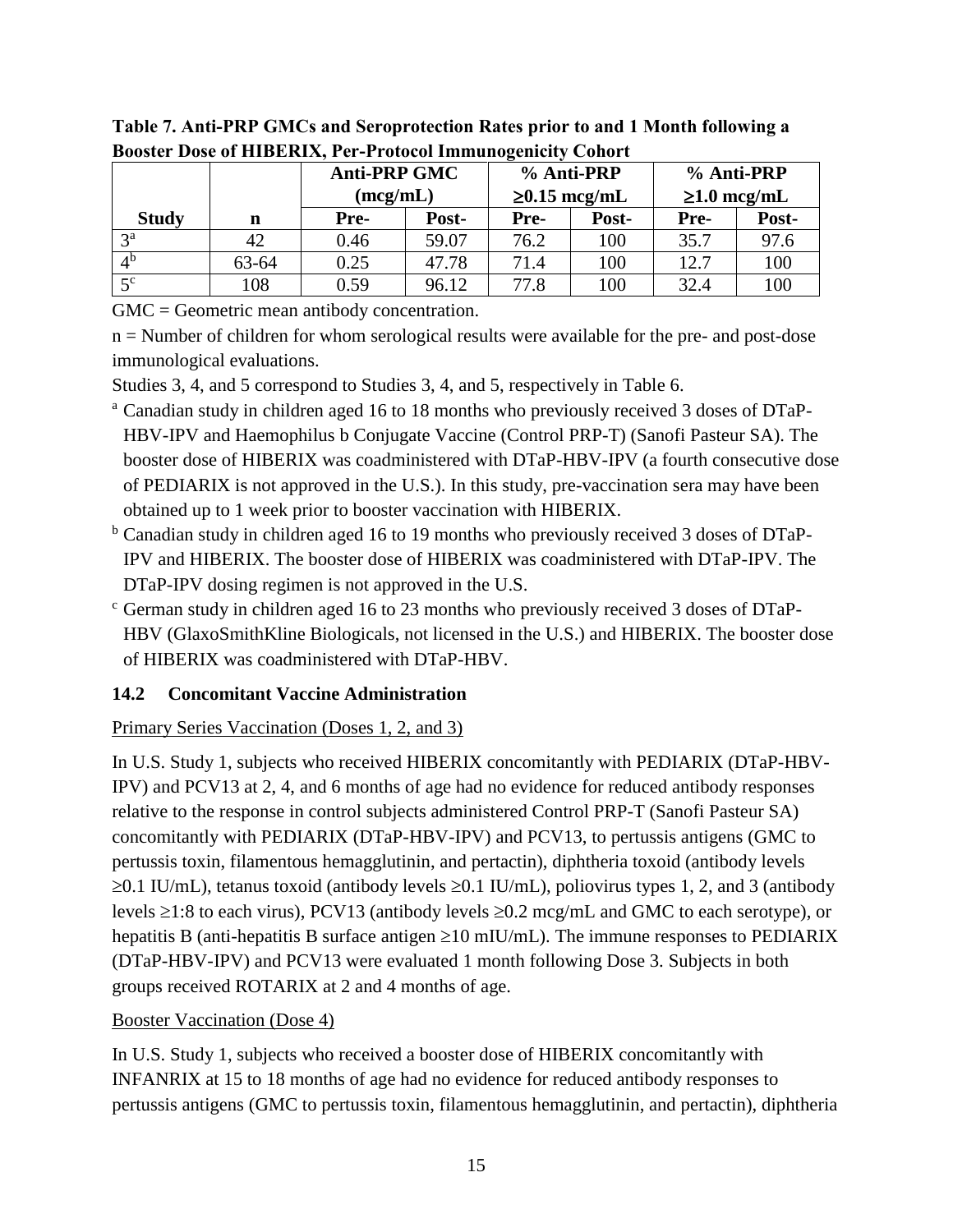|                   |       | <b>Anti-PRP GMC</b><br>(mcg/mL) |       | % Anti-PRP<br>$\geq 0.15$ mcg/mL |       | % Anti-PRP<br>$\geq 1.0$ mcg/mL |       |
|-------------------|-------|---------------------------------|-------|----------------------------------|-------|---------------------------------|-------|
| <b>Study</b>      | n     | Pre-                            | Post- | Pre-                             | Post- | Pre-                            | Post- |
| 2 <sup>a</sup>    |       | 0.46                            | 59.07 | 76.2                             | 100   | 35.7                            | 97.6  |
| $\Lambda^{\rm b}$ | 63-64 | 0.25                            | 47.78 | 71.4                             | 100   | 12.7                            | 100   |
| $5^{\rm c}$       | 108   | 0.59                            | 96.12 | 77.8                             | 100   | 32.4                            | 100   |

**Table 7. Anti-PRP GMCs and Seroprotection Rates prior to and 1 Month following a Booster Dose of HIBERIX, Per-Protocol Immunogenicity Cohort**

GMC = Geometric mean antibody concentration.

n = Number of children for whom serological results were available for the pre- and post-dose immunological evaluations.

Studies 3, 4, and 5 correspond to Studies 3, 4, and 5, respectively in Table 6.

- <sup>a</sup> Canadian study in children aged 16 to 18 months who previously received 3 doses of DTaP-HBV-IPV and Haemophilus b Conjugate Vaccine (Control PRP-T) (Sanofi Pasteur SA). The booster dose of HIBERIX was coadministered with DTaP-HBV-IPV (a fourth consecutive dose of PEDIARIX is not approved in the U.S.). In this study, pre-vaccination sera may have been obtained up to 1 week prior to booster vaccination with HIBERIX.
- <sup>b</sup> Canadian study in children aged 16 to 19 months who previously received 3 doses of DTaP-IPV and HIBERIX. The booster dose of HIBERIX was coadministered with DTaP-IPV. The DTaP-IPV dosing regimen is not approved in the U.S.
- <sup>c</sup> German study in children aged 16 to 23 months who previously received 3 doses of DTaP-HBV (GlaxoSmithKline Biologicals, not licensed in the U.S.) and HIBERIX. The booster dose of HIBERIX was coadministered with DTaP-HBV.

### <span id="page-14-0"></span>**14.2 Concomitant Vaccine Administration**

## Primary Series Vaccination (Doses 1, 2, and 3)

In U.S. Study 1, subjects who received HIBERIX concomitantly with PEDIARIX (DTaP-HBV-IPV) and PCV13 at 2, 4, and 6 months of age had no evidence for reduced antibody responses relative to the response in control subjects administered Control PRP-T (Sanofi Pasteur SA) concomitantly with PEDIARIX (DTaP-HBV-IPV) and PCV13, to pertussis antigens (GMC to pertussis toxin, filamentous hemagglutinin, and pertactin), diphtheria toxoid (antibody levels  $\geq 0.1$  IU/mL), tetanus toxoid (antibody levels  $\geq 0.1$  IU/mL), poliovirus types 1, 2, and 3 (antibody levels  $\geq$ 1:8 to each virus), PCV13 (antibody levels  $\geq$ 0.2 mcg/mL and GMC to each serotype), or hepatitis B (anti-hepatitis B surface antigen  $\geq 10$  mIU/mL). The immune responses to PEDIARIX (DTaP-HBV-IPV) and PCV13 were evaluated 1 month following Dose 3. Subjects in both groups received ROTARIX at 2 and 4 months of age.

### Booster Vaccination (Dose 4)

In U.S. Study 1, subjects who received a booster dose of HIBERIX concomitantly with INFANRIX at 15 to 18 months of age had no evidence for reduced antibody responses to pertussis antigens (GMC to pertussis toxin, filamentous hemagglutinin, and pertactin), diphtheria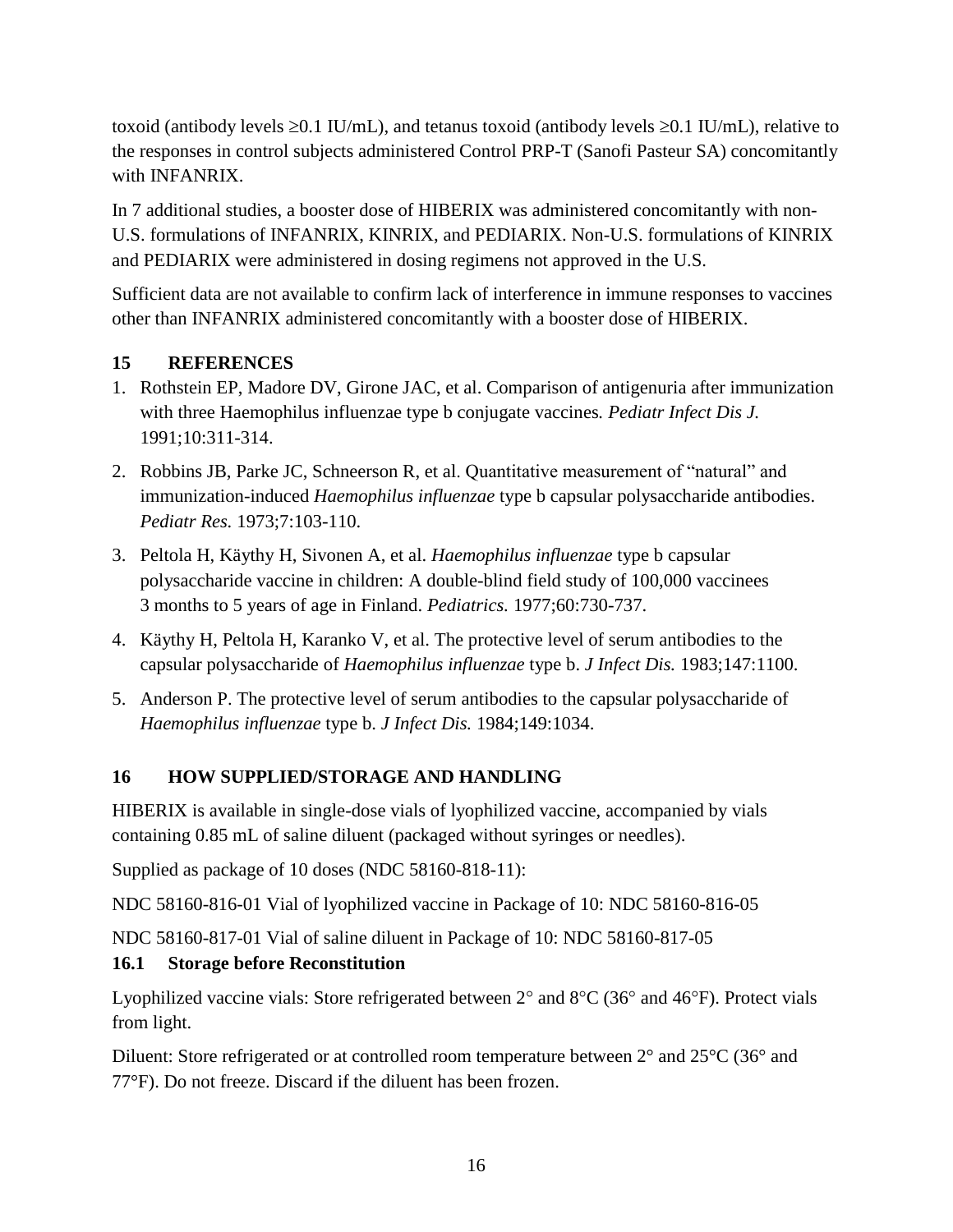toxoid (antibody levels  $\geq 0.1$  IU/mL), and tetanus toxoid (antibody levels  $\geq 0.1$  IU/mL), relative to the responses in control subjects administered Control PRP-T (Sanofi Pasteur SA) concomitantly with INFANRIX.

In 7 additional studies, a booster dose of HIBERIX was administered concomitantly with non-U.S. formulations of INFANRIX, KINRIX, and PEDIARIX. Non-U.S. formulations of KINRIX and PEDIARIX were administered in dosing regimens not approved in the U.S.

Sufficient data are not available to confirm lack of interference in immune responses to vaccines other than INFANRIX administered concomitantly with a booster dose of HIBERIX.

### <span id="page-15-0"></span>**15 REFERENCES**

- 1. Rothstein EP, Madore DV, Girone JAC, et al. Comparison of antigenuria after immunization with three Haemophilus influenzae type b conjugate vaccines*. Pediatr Infect Dis J.* 1991;10:311-314.
- 2. Robbins JB, Parke JC, Schneerson R, et al. Quantitative measurement of "natural" and immunization-induced *Haemophilus influenzae* type b capsular polysaccharide antibodies. *Pediatr Res.* 1973;7:103-110.
- 3. Peltola H, Käythy H, Sivonen A, et al. *Haemophilus influenzae* type b capsular polysaccharide vaccine in children: A double-blind field study of 100,000 vaccinees 3 months to 5 years of age in Finland. *Pediatrics.* 1977;60:730-737.
- 4. Käythy H, Peltola H, Karanko V, et al. The protective level of serum antibodies to the capsular polysaccharide of *Haemophilus influenzae* type b. *J Infect Dis.* 1983;147:1100.
- 5. Anderson P. The protective level of serum antibodies to the capsular polysaccharide of *Haemophilus influenzae* type b. *J Infect Dis.* 1984;149:1034.

## <span id="page-15-1"></span>**16 HOW SUPPLIED/STORAGE AND HANDLING**

HIBERIX is available in single-dose vials of lyophilized vaccine, accompanied by vials containing 0.85 mL of saline diluent (packaged without syringes or needles).

Supplied as package of 10 doses (NDC 58160-818-11):

NDC 58160-816-01 Vial of lyophilized vaccine in Package of 10: NDC 58160-816-05

NDC 58160-817-01 Vial of saline diluent in Package of 10: NDC 58160-817-05

### <span id="page-15-2"></span>**16.1 Storage before Reconstitution**

Lyophilized vaccine vials: Store refrigerated between  $2^{\circ}$  and  $8^{\circ}C$  (36° and 46°F). Protect vials from light.

Diluent: Store refrigerated or at controlled room temperature between  $2^{\circ}$  and  $25^{\circ}$ C (36° and 77°F). Do not freeze. Discard if the diluent has been frozen.